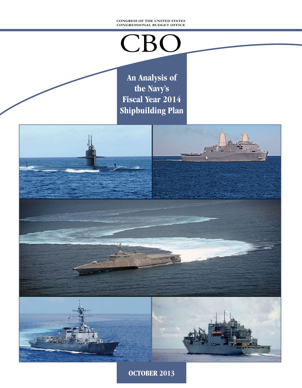#### **CONGRESS OF THE UNITED STATES CONGRESSIONAL BUDGET OFFICE**

# CBO

**An Analysis of the Navy's Fiscal Year 2014 Shipbuilding Plan**



**OCTOBER 2013**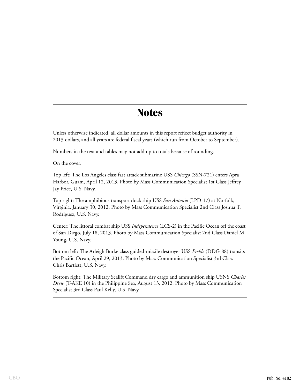### **Notes**

Unless otherwise indicated, all dollar amounts in this report reflect budget authority in 2013 dollars, and all years are federal fiscal years (which run from October to September).

Numbers in the text and tables may not add up to totals because of rounding.

On the cover:

Top left: The Los Angeles class fast attack submarine USS *Chicago* (SSN-721) enters Apra Harbor, Guam, April 12, 2013. Photo by Mass Communication Specialist 1st Class Jeffrey Jay Price, U.S. Navy.

Top right: The amphibious transport dock ship USS *San Antonio* (LPD-17) at Norfolk, Virginia, January 30, 2012. Photo by Mass Communication Specialist 2nd Class Joshua T. Rodriguez, U.S. Navy.

Center: The littoral combat ship USS *Independence* (LCS-2) in the Pacific Ocean off the coast of San Diego, July 18, 2013. Photo by Mass Communication Specialist 2nd Class Daniel M. Young, U.S. Navy.

Bottom left: The Arleigh Burke class guided-missile destroyer USS *Preble* (DDG-88) transits the Pacific Ocean, April 29, 2013. Photo by Mass Communication Specialist 3rd Class Chris Bartlett, U.S. Navy.

Bottom right: The Military Sealift Command dry cargo and ammunition ship USNS *Charles Drew* (T-AKE 10) in the Philippine Sea, August 13, 2012. Photo by Mass Communication Specialist 3rd Class Paul Kelly, U.S. Navy.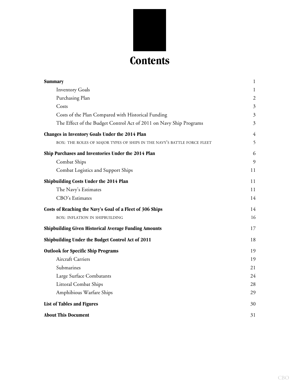

| <b>Summary</b>                                                          | $\mathbf{1}$   |
|-------------------------------------------------------------------------|----------------|
| <b>Inventory Goals</b>                                                  | $\mathbf{1}$   |
| Purchasing Plan                                                         | $\mathfrak{2}$ |
| Costs                                                                   | $\mathfrak{Z}$ |
| Costs of the Plan Compared with Historical Funding                      | 3              |
| The Effect of the Budget Control Act of 2011 on Navy Ship Programs      | 3              |
| Changes in Inventory Goals Under the 2014 Plan                          | $\overline{4}$ |
| BOX: THE ROLES OF MAJOR TYPES OF SHIPS IN THE NAVY'S BATTLE FORCE FLEET | 5              |
| Ship Purchases and Inventories Under the 2014 Plan                      | 6              |
| Combat Ships                                                            | 9              |
| Combat Logistics and Support Ships                                      | 11             |
| Shipbuilding Costs Under the 2014 Plan                                  | 11             |
| The Navy's Estimates                                                    | 11             |
| CBO's Estimates                                                         | 14             |
| Costs of Reaching the Navy's Goal of a Fleet of 306 Ships               | 14             |
| <b>BOX: INFLATION IN SHIPBUILDING</b>                                   | 16             |
| <b>Shipbuilding Given Historical Average Funding Amounts</b>            | 17             |
| Shipbuilding Under the Budget Control Act of 2011                       | 18             |
| <b>Outlook for Specific Ship Programs</b>                               | 19             |
| <b>Aircraft Carriers</b>                                                | 19             |
| Submarines                                                              | 21             |
| Large Surface Combatants                                                | 24             |
| <b>Littoral Combat Ships</b>                                            | 28             |
| Amphibious Warfare Ships                                                | 29             |
| List of Tables and Figures                                              | 30             |
| <b>About This Document</b>                                              | 31             |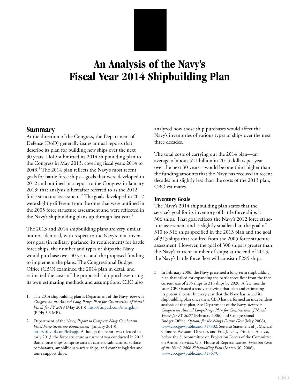### **An Analysis of the Navy's Fiscal Year 2014 Shipbuilding Plan**

#### <span id="page-4-0"></span>**Summary**

At the direction of the Congress, the Department of Defense (DoD) generally issues annual reports that describe its plan for building new ships over the next 30 years. DoD submitted its 2014 shipbuilding plan to the Congress in May 2013, covering fiscal years 2014 to 2043.<sup>1</sup> The 2014 plan reflects the Navy's most recent goals for battle force ships—goals that were developed in 2012 and outlined in a report to the Congress in January 2013; that analysis is hereafter referred to as the 2012 force structure assessment. $^{2}$  The goals developed in 2012 were slightly different from the ones that were outlined in the 2005 force structure assessment and were reflected in the Navy's shipbuilding plans up through last year.<sup>3</sup>

The 2013 and 2014 shipbuilding plans are very similar, but not identical, with respect to the Navy's total inventory goal (in military parlance, its requirement) for battle force ships, the number and types of ships the Navy would purchase over 30 years, and the proposed funding to implement the plans. The Congressional Budget Office (CBO) examined the 2014 plan in detail and estimated the costs of the proposed ship purchases using its own estimating methods and assumptions. CBO also

analyzed how those ship purchases would affect the Navy's inventories of various types of ships over the next three decades.

The total costs of carrying out the 2014 plan—an average of about \$21 billion in 2013 dollars per year over the next 30 years—would be one-third higher than the funding amounts that the Navy has received in recent decades but slightly less than the costs of the 2013 plan, CBO estimates.

#### <span id="page-4-1"></span>**Inventory Goals**

The Navy's 2014 shipbuilding plan states that the service's goal for its inventory of battle force ships is 306 ships. That goal reflects the Navy's 2012 force structure assessment and is slightly smaller than the goal of 310 to 316 ships specified in the 2013 plan and the goal of 313 ships that resulted from the 2005 force structure assessment. However, the goal of 306 ships is greater than the Navy's current number of ships; at the end of 2013, the Navy's battle force fleet will consist of 285 ships.

<sup>1.</sup> The 2014 shipbuilding plan is Department of the Navy, *Report to Congress on the Annual Long-Range Plan for Construction of Naval Vessels for FY 2014* (May 2013), <http://tinyurl.com/mwrgdn3> (PDF; 3.3 MB).

<sup>2.</sup> Department of the Navy, *Report to Congress: Navy Combatant Vessel Force Structure Requirement* (January 2013), <http://tinyurl.com/kvhspjs>. Although the report was released in early 2013, the force structure assessment was conducted in 2012. Battle force ships comprise aircraft carriers, submarines, surface combatants, amphibious warfare ships, and combat logistics and some support ships.

<sup>3.</sup> In February 2006, the Navy presented a long-term shipbuilding plan that called for expanding the battle force fleet from the thencurrent size of 285 ships to 313 ships by 2020. A few months later, CBO issued a study analyzing that plan and estimating its potential costs. In every year that the Navy has issued its shipbuilding plan since then, CBO has performed an independent analysis of that plan. See Department of the Navy, *Report to Congress on Annual Long-Range Plan for Construction of Naval Vessels for FY 2007* (February 2006) and Congressional Budget Office, *Options for the Navy's Future Fleet* (May 2006), [www.cbo.gov/publication/17802](http://www.cbo.gov/publication/17802). See also Statement of J. Michael Gilmore, Assistant Director, and Eric J. Labs, Principal Analyst, before the Subcommittee on Projection Forces of the Committee on Armed Services, U.S. House of Representatives, *Potential Costs of the Navy's 2006 Shipbuilding Plan* (March 30, 2006), [www.cbo.gov/publication/17679](http://www.cbo.gov/publication/17679).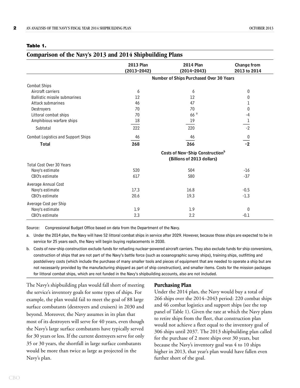#### <span id="page-5-1"></span>**Table 1.**

#### <span id="page-5-2"></span>**Comparison of the Navy's 2013 and 2014 Shipbuilding Plans**

|                                           | <b>2013 Plan</b><br>$(2013 - 2042)$ | <b>2014 Plan</b><br>$(2014 - 2043)$         | <b>Change from</b><br>2013 to 2014 |
|-------------------------------------------|-------------------------------------|---------------------------------------------|------------------------------------|
|                                           |                                     | Number of Ships Purchased Over 30 Years     |                                    |
| <b>Combat Ships</b>                       |                                     |                                             |                                    |
| Aircraft carriers                         | 6                                   | 6                                           | 0                                  |
| <b>Ballistic missile submarines</b>       | 12                                  | 12                                          | 0                                  |
| Attack submarines                         | 46                                  | 47                                          |                                    |
| Destroyers                                | 70                                  | 70                                          | 0                                  |
| Littoral combat ships                     | 70                                  | 66a                                         | -4                                 |
| Amphibious warfare ships                  | 18                                  | 19                                          | 1                                  |
| Subtotal                                  | 222                                 | 220                                         | $-2$                               |
| <b>Combat Logistics and Support Ships</b> | 46                                  | 46                                          | 0                                  |
| <b>Total</b>                              | 268                                 | 266                                         | $-2$                               |
|                                           |                                     | Costs of New-Ship Construction <sup>b</sup> |                                    |
|                                           |                                     | (Billions of 2013 dollars)                  |                                    |
| Total Cost Over 30 Years                  |                                     |                                             |                                    |
| Navy's estimate                           | 520                                 | 504                                         | $-16$                              |
| CBO's estimate                            | 617                                 | 580                                         | $-37$                              |
| Average Annual Cost                       |                                     |                                             |                                    |
| Navy's estimate                           | 17.3                                | 16.8                                        | $-0.5$                             |
| CBO's estimate                            | 20.6                                | 19.3                                        | $-1.3$                             |
| Average Cost per Ship                     |                                     |                                             |                                    |
| Navy's estimate                           | 1.9                                 | 1.9                                         | 0                                  |
| CBO's estimate                            | 2.3                                 | 2.2                                         | $-0.1$                             |

Source: Congressional Budget Office based on data from the Department of the Navy.

b. Costs of new-ship construction exclude funds for refueling nuclear-powered aircraft carriers. They also exclude funds for ship conversions, construction of ships that are not part of the Navy's battle force (such as oceanographic survey ships), training ships, outfitting and postdelivery costs (which include the purchase of many smaller tools and pieces of equipment that are needed to operate a ship but are not necessarily provided by the manufacturing shipyard as part of ship construction), and smaller items. Costs for the mission packages for littoral combat ships, which are not funded in the Navy's shipbuilding accounts, also are not included.

The Navy's shipbuilding plan would fall short of meeting the service's inventory goals for some types of ships. For example, the plan would fail to meet the goal of 88 large surface combatants (destroyers and cruisers) in 2030 and beyond. Moreover, the Navy assumes in its plan that most of its destroyers will serve for 40 years, even though the Navy's large surface combatants have typically served for 30 years or less. If the current destroyers serve for only 35 or 30 years, the shortfall in large surface combatants would be more than twice as large as projected in the Navy's plan.

#### <span id="page-5-0"></span>**Purchasing Plan**

Under the 2014 plan, the Navy would buy a total of 266 ships over the 2014–2043 period: 220 combat ships and 46 combat logistics and support ships (see the top panel of [Table 1\)](#page-5-1). Given the rate at which the Navy plans to retire ships from the fleet, that construction plan would not achieve a fleet equal to the inventory goal of 306 ships until 2037. The 2013 shipbuilding plan called for the purchase of 2 more ships over 30 years, but because the Navy's inventory goal was 4 to 10 ships higher in 2013, that year's plan would have fallen even further short of the goal.

a. Under the 2014 plan, the Navy will have 52 littoral combat ships in service after 2029. However, because those ships are expected to be in service for 25 years each, the Navy will begin buying replacements in 2030.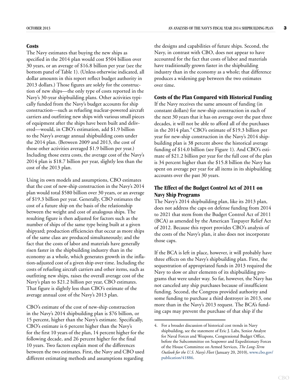#### <span id="page-6-0"></span>**Costs**

The Navy estimates that buying the new ships as specified in the 2014 plan would cost \$504 billion over 30 years, or an average of \$16.8 billion per year (see the bottom panel of [Table 1](#page-5-1)). (Unless otherwise indicated, all dollar amounts in this report reflect budget authority in 2013 dollars.) Those figures are solely for the construction of new ships—the only type of costs reported in the Navy's 30-year shipbuilding plans. Other activities typically funded from the Navy's budget accounts for ship construction—such as refueling nuclear-powered aircraft carriers and outfitting new ships with various small pieces of equipment after the ships have been built and delivered—would, in CBO's estimation, add \$1.9 billion to the Navy's average annual shipbuilding costs under the 2014 plan. (Between 2009 and 2013, the cost of those other activities averaged \$1.9 billion per year.) Including those extra costs, the average cost of the Navy's 2014 plan is \$18.7 billion per year, slightly less than the cost of the 2013 plan.

Using its own models and assumptions, CBO estimates that the cost of new-ship construction in the Navy's 2014 plan would total \$580 billion over 30 years, or an average of \$19.3 billion per year. Generally, CBO estimates the cost of a future ship on the basis of the relationship between the weight and cost of analogous ships. The resulting figure is then adjusted for factors such as the number of ships of the same type being built at a given shipyard; production efficiencies that occur as more ships of the same class are produced simultaneously; and the fact that the costs of labor and materials have generally risen faster in the shipbuilding industry than in the economy as a whole, which generates growth in the inflation-adjusted cost of a given ship over time. Including the costs of refueling aircraft carriers and other items, such as outfitting new ships, raises the overall average cost of the Navy's plan to \$21.2 billion per year, CBO estimates. That figure is slightly less than CBO's estimate of the average annual cost of the Navy's 2013 plan.

CBO's estimate of the cost of new-ship construction in the Navy's 2014 shipbuilding plan is \$76 billion, or 15 percent, higher than the Navy's estimate. Specifically, CBO's estimate is 6 percent higher than the Navy's for the first 10 years of the plan, 14 percent higher for the following decade, and 26 percent higher for the final 10 years. Two factors explain most of the differences between the two estimates. First, the Navy and CBO used different estimating methods and assumptions regarding

the designs and capabilities of future ships. Second, the Navy, in contrast with CBO, does not appear to have accounted for the fact that costs of labor and materials have traditionally grown faster in the shipbuilding industry than in the economy as a whole; that difference produces a widening gap between the two estimates over time.

#### <span id="page-6-1"></span>**Costs of the Plan Compared with Historical Funding**

If the Navy receives the same amount of funding (in constant dollars) for new-ship construction in each of the next 30 years that it has on average over the past three decades, it will not be able to afford all of the purchases in the 2014 plan.<sup>4</sup> CBO's estimate of \$19.3 billion per year for new-ship construction in the Navy's 2014 shipbuilding plan is 38 percent above the historical average funding of \$14.0 billion (see [Figure 1](#page-7-1)). And CBO's estimate of \$21.2 billion per year for the full cost of the plan is 34 percent higher than the \$15.8 billion the Navy has spent on average per year for all items in its shipbuilding accounts over the past 30 years.

#### <span id="page-6-2"></span>**The Effect of the Budget Control Act of 2011 on Navy Ship Programs**

The Navy's 2014 shipbuilding plan, like its 2013 plan, does not address the caps on defense funding from 2014 to 2021 that stem from the Budget Control Act of 2011 (BCA) as amended by the American Taxpayer Relief Act of 2012. Because this report provides CBO's analysis of the costs of the Navy's plan, it also does not incorporate those caps.

If the BCA is left in place, however, it will probably have three effects on the Navy's shipbuilding plan. First, the sequestration of appropriated funds in 2013 required the Navy to slow or alter elements of its shipbuilding programs that were under way. So far, however, the Navy has not canceled any ship purchases because of insufficient funding. Second, the Congress provided authority and some funding to purchase a third destroyer in 2013, one more than in the Navy's 2013 request. The BCA's funding caps may prevent the purchase of that ship if the

<sup>4.</sup> For a broader discussion of historical cost trends in Navy shipbuilding, see the statement of Eric J. Labs, Senior Analyst for Naval Forces and Weapons, Congressional Budget Office, before the Subcommittee on Seapower and Expeditionary Forces of the House Committee on Armed Services, *The Long-Term Outlook for the U.S. Navy's Fleet* (January 20, 2010), [www.cbo.gov/](http://www.cbo.gov/publication/41886) [publication/41886](http://www.cbo.gov/publication/41886).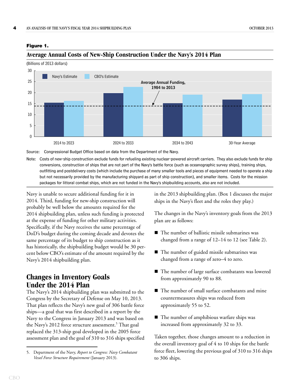#### <span id="page-7-2"></span><span id="page-7-1"></span>**Figure 1.**

#### **Average Annual Costs of New-Ship Construction Under the Navy's 2014 Plan**

(Billions of 2013 dollars)



Source: Congressional Budget Office based on data from the Department of the Navy.

Note: Costs of new-ship construction exclude funds for refueling existing nuclear-powered aircraft carriers. They also exclude funds for ship conversions, construction of ships that are not part of the Navy's battle force (such as oceanographic survey ships), training ships, outfitting and postdelivery costs (which include the purchase of many smaller tools and pieces of equipment needed to operate a ship but not necessarily provided by the manufacturing shipyard as part of ship construction), and smaller items. Costs for the mission packages for littoral combat ships, which are not funded in the Navy's shipbuilding accounts, also are not included.

Navy is unable to secure additional funding for it in 2014. Third, funding for new-ship construction will probably be well below the amounts required for the 2014 shipbuilding plan, unless such funding is protected at the expense of funding for other military activities. Specifically, if the Navy receives the same percentage of DoD's budget during the coming decade and devotes the same percentage of its budget to ship construction as it has historically, the shipbuilding budget would be 30 percent below CBO's estimate of the amount required by the Navy's 2014 shipbuilding plan.

#### <span id="page-7-0"></span>**Changes in Inventory Goals Under the 2014 Plan**

The Navy's 2014 shipbuilding plan was submitted to the Congress by the Secretary of Defense on May 10, 2013. That plan reflects the Navy's new goal of 306 battle force ships—a goal that was first described in a report by the Navy to the Congress in January 2013 and was based on the Navy's 2012 force structure assessment.<sup>5</sup> That goal replaced the 313-ship goal developed in the 2005 force assessment plan and the goal of 310 to 316 ships specified in the 2013 shipbuilding plan. ([Box 1](#page-8-1) discusses the major ships in the Navy's fleet and the roles they play.)

The changes in the Navy's inventory goals from the 2013 plan are as follows:

- The number of ballistic missile submarines was changed from a range of 12–14 to 12 (see [Table 2](#page-9-1)).
- The number of guided missile submarines was changed from a range of zero–4 to zero.
- The number of large surface combatants was lowered from approximately 90 to 88.
- The number of small surface combatants and mine countermeasures ships was reduced from approximately 55 to 52.
- The number of amphibious warfare ships was increased from approximately 32 to 33.

Taken together, those changes amount to a reduction in the overall inventory goal of 4 to 10 ships for the battle force fleet, lowering the previous goal of 310 to 316 ships to 306 ships.

<sup>5.</sup> Department of the Navy, *Report to Congress: Navy Combatant Vessel Force Structure Requirement* (January 2013).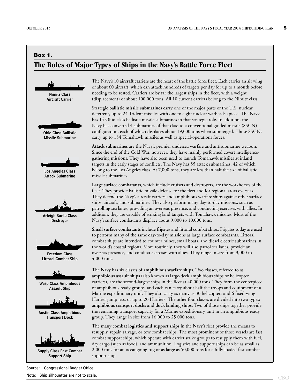#### <span id="page-8-1"></span><span id="page-8-0"></span>**Box 1. The Roles of Major Types of Ships in the Navy's Battle Force Fleet**



The Navy's 10 **aircraft carriers** are the heart of the battle force fleet. Each carries an air wing of about 60 aircraft, which can attack hundreds of targets per day for up to a month before needing to be rested. Carriers are by far the largest ships in the fleet, with a weight (displacement) of about 100,000 tons. All 10 current carriers belong to the Nimitz class.

Strategic **ballistic missile submarines** carry one of the major parts of the U.S. nuclear deterrent, up to 24 Trident missiles with one to eight nuclear warheads apiece. The Navy has 14 Ohio class ballistic missile submarines in that strategic role. In addition, the Navy has converted 4 submarines of that class to a conventional guided missile (SSGN) configuration, each of which displaces about 19,000 tons when submerged. Those SSGNs carry up to 154 Tomahawk missiles as well as special-operations forces.

**Attack submarines** are the Navy's premier undersea warfare and antisubmarine weapon. Since the end of the Cold War, however, they have mainly performed covert intelligencegathering missions. They have also been used to launch Tomahawk missiles at inland targets in the early stages of conflicts. The Navy has 55 attack submarines, 42 of which belong to the Los Angeles class. At 7,000 tons, they are less than half the size of ballistic missile submarines.

**Large surface combatants**, which include cruisers and destroyers, are the workhorses of the fleet. They provide ballistic missile defense for the fleet and for regional areas overseas. They defend the Navy's aircraft carriers and amphibious warfare ships against other surface ships, aircraft, and submarines. They also perform many day-to-day missions, such as patrolling sea lanes, providing an overseas presence, and conducting exercises with allies. In addition, they are capable of striking land targets with Tomahawk missiles. Most of the Navy's surface combatants displace about 9,000 to 10,000 tons.

**Small surface combatants** include frigates and littoral combat ships. Frigates today are used to perform many of the same day-to-day missions as large surface combatants. Littoral combat ships are intended to counter mines, small boats, and diesel electric submarines in the world's coastal regions. More routinely, they will also patrol sea lanes, provide an overseas presence, and conduct exercises with allies. They range in size from 3,000 to 4,000 tons.

The Navy has six classes of **amphibious warfare ships**. Two classes, referred to as **amphibious assault ships** (also known as large-deck amphibious ships or helicopter carriers), are the second-largest ships in the fleet at 40,000 tons. They form the centerpiece of amphibious ready groups, and each can carry about half the troops and equipment of a Marine expeditionary unit. They also carry as many as 30 helicopters and 6 fixed-wing Harrier jump jets, or up to 20 Harriers. The other four classes are divided into two types: **amphibious transport docks** and **dock landing ships.** Two of those ships together provide the remaining transport capacity for a Marine expeditionary unit in an amphibious ready group. They range in size from 16,000 to 25,000 tons.

The many **combat logistics and support ships** in the Navy's fleet provide the means to resupply, repair, salvage, or tow combat ships. The most prominent of those vessels are fast combat support ships, which operate with carrier strike groups to resupply them with fuel, dry cargo (such as food), and ammunition. Logistics and support ships can be as small as 2,000 tons for an oceangoing tug or as large as 50,000 tons for a fully loaded fast combat support ship.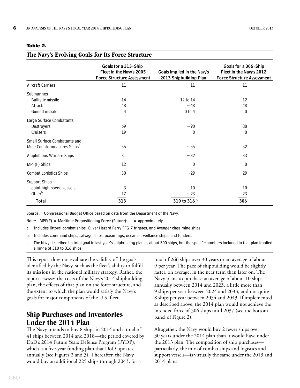<span id="page-9-2"></span>**The Navy's Evolving Goals for Its Force Structure**

|                                                                         | Goals for a 313-Ship<br>Fleet in the Navy's 2005<br><b>Force Structure Assessment</b> | Goals Implied in the Navy's<br>2013 Shipbuilding Plan | Goals for a 306-Ship<br>Fleet in the Navy's 2012<br><b>Force Structure Assessment</b> |
|-------------------------------------------------------------------------|---------------------------------------------------------------------------------------|-------------------------------------------------------|---------------------------------------------------------------------------------------|
| <b>Aircraft Carriers</b>                                                | 11                                                                                    | 11                                                    | 11                                                                                    |
| Submarines<br><b>Ballistic missile</b><br>Attack<br>Guided missile      | 14<br>48<br>4                                                                         | 12 to 14<br>~1<br>$0$ to $4$                          | 12<br>48<br>0                                                                         |
| Large Surface Combatants<br>Destroyers<br>Cruisers                      | 69<br>19                                                                              | ~1<br>$\theta$                                        | 88<br>0                                                                               |
| Small Surface Combatants and<br>Mine Countermeasures Ships <sup>a</sup> | 55                                                                                    | $\sim\!55$                                            | 52                                                                                    |
| Amphibious Warfare Ships                                                | 31                                                                                    | $~1$ - 32                                             | 33                                                                                    |
| MPF(F) Ships                                                            | 12                                                                                    | $\theta$                                              | $\mathbf{0}$                                                                          |
| <b>Combat Logistics Ships</b>                                           | 30                                                                                    | $~1$ -29                                              | 29                                                                                    |
| Support Ships<br>Joint high-speed vessels<br>Other <sup>b</sup>         | 3<br>17                                                                               | 10<br>~1                                              | 10<br>23                                                                              |
| <b>Total</b>                                                            | 313                                                                                   | 310 to 316 $\degree$                                  | 306                                                                                   |

#### <span id="page-9-1"></span>**Table 2.**

Source: Congressional Budget Office based on data from the Department of the Navy.

Note: MPF(F) = Maritime Prepositioning Force (Future);  $\sim$  = approximately.

a. Includes littoral combat ships, Oliver Hazard Perry FFG-7 frigates, and Avenger class mine ships.

- b. Includes command ships, salvage ships, ocean tugs, ocean surveillance ships, and tenders.
- c. The Navy described its total goal in last year's shipbuilding plan as about 300 ships, but the specific numbers included in that plan implied a range of 310 to 316 ships.

This report does not evaluate the validity of the goals identified by the Navy, such as the fleet's ability to fulfill its missions in the national military strategy. Rather, the report assesses the costs of the Navy's 2014 shipbuilding plan, the effects of that plan on the force structure, and the extent to which the plan would satisfy the Navy's goals for major components of the U.S. fleet.

#### <span id="page-9-0"></span>**Ship Purchases and Inventories Under the 2014 Plan**

The Navy intends to buy 8 ships in 2014 and a total of 41 ships between 2014 and 2018—the period covered by DoD's 2014 Future Years Defense Program (FYDP), which is a five-year funding plan that DoD updates annually (see Figures [2](#page-10-0) and [3\)](#page-11-0). Thereafter, the Navy would buy an additional 225 ships through 2043, for a

total of 266 ships over 30 years or an average of about 9 per year. The pace of shipbuilding would be slightly faster, on average, in the near term than later on. The Navy plans to purchase an average of about 10 ships annually between 2014 and 2023, a little more than 9 ships per year between 2024 and 2033, and not quite 8 ships per year between 2034 and 2043. If implemented as described above, the 2014 plan would not achieve the intended force of 306 ships until 2037 (see the bottom panel of [Figure 2\)](#page-10-0).

Altogether, the Navy would buy 2 fewer ships over 30 years under the 2014 plan than it would have under the 2013 plan. The composition of ship purchases particularly, the mix of combat ships and logistics and support vessels—is virtually the same under the 2013 and 2014 plans.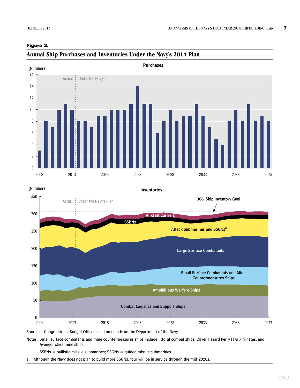#### <span id="page-10-1"></span><span id="page-10-0"></span>**Figure 2.**



### **Annual Ship Purchases and Inventories Under the Navy's 2014 Plan**



Source: Congressional Budget Office based on data from the Department of the Navy.

Notes: Small surface combatants and mine countermeasures ships include littoral combat ships, Oliver Hazard Perry FFG-7 frigates, and Avenger class mine ships.

SSBNs = ballistic missile submarines; SSGNs = guided missile submarines.

a. Although the Navy does not plan to build more SSGNs, four will be in service through the mid-2020s.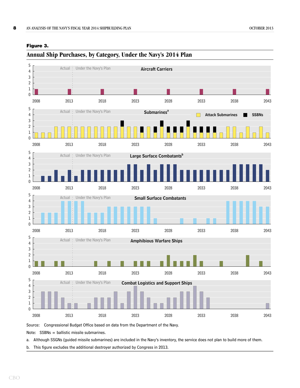

#### <span id="page-11-1"></span><span id="page-11-0"></span>**Figure 3.**

Source: Congressional Budget Office based on data from the Department of the Navy.

Note: SSBNs = ballistic missile submarines.

a. Although SSGNs (guided missile submarines) are included in the Navy's inventory, the service does not plan to build more of them.

b. This figure excludes the additional destroyer authorized by Congress in 2013.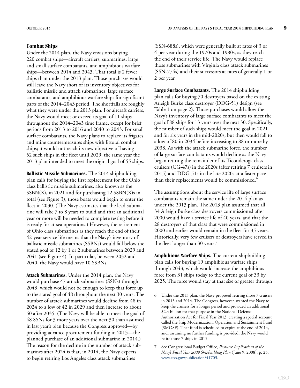#### <span id="page-12-0"></span>**Combat Ships**

Under the 2014 plan, the Navy envisions buying 220 combat ships—aircraft carriers, submarines, large and small surface combatants, and amphibious warfare ships—between 2014 and 2043. That total is 2 fewer ships than under the 2013 plan. Those purchases would still leave the Navy short of its inventory objectives for ballistic missile and attack submarines, large surface combatants, and amphibious warfare ships for significant parts of the 2014–2043 period. The shortfalls are roughly what they were under the 2013 plan. For aircraft carriers, the Navy would meet or exceed its goal of 11 ships throughout the 2014–2043 time frame, except for brief periods from 2013 to 2016 and 2040 to 2043. For small surface combatants, the Navy plans to replace its frigates and mine countermeasures ships with littoral combat ships; it would not reach its new objective of having 52 such ships in the fleet until 2029, the same year the 2013 plan intended to meet the original goal of 55 ships.

**Ballistic Missile Submarines.** The 2014 shipbuilding plan calls for buying the first replacement for the Ohio class ballistic missile submarines, also known as the SSBN(X), in 2021 and for purchasing 12 SSBN(X)s in total (see [Figure 3](#page-11-0)); those boats would begin to enter the fleet in 2030. (The Navy estimates that the lead submarine will take 7 to 8 years to build and that an additional year or more will be needed to complete testing before it is ready for at-sea operations.) However, the retirement of Ohio class submarines as they reach the end of their 42-year service life means that the Navy's inventory of ballistic missile submarines (SSBNs) would fall below the stated goal of 12 by 1 or 2 submarines between 2029 and 2041 (see [Figure 4](#page-13-0)). In particular, between 2032 and 2040, the Navy would have 10 SSBNs.

**Attack Submarines.** Under the 2014 plan, the Navy would purchase 47 attack submarines (SSNs) through 2043, which would not be enough to keep that force up to the stated goal of 48 throughout the next 30 years. The number of attack submarines would decline from 48 in 2024 to a low of 42 in 2029 and then increase to about 50 after 2035. (The Navy will be able to meet the goal of 48 SSNs for 3 more years over the next 30 than assumed in last year's plan because the Congress approved—by providing advance procurement funding in 2013—the planned purchase of an additional submarine in 2014.) The reason for the decline in the number of attack submarines after 2024 is that, in 2014, the Navy expects to begin retiring Los Angeles class attack submarines

(SSN-688s), which were generally built at rates of 3 or 4 per year during the 1970s and 1980s, as they reach the end of their service life. The Navy would replace those submarines with Virginia class attack submarines (SSN-774s) and their successors at rates of generally 1 or 2 per year.

**Large Surface Combatants.** The 2014 shipbuilding plan calls for buying 70 destroyers based on the existing Arleigh Burke class destroyer (DDG-51) design (see [Table 1 on page 2](#page-5-1)). Those purchases would allow the Navy's inventory of large surface combatants to meet the goal of 88 ships for 13 years over the next 30. Specifically, the number of such ships would meet the goal in 2021 and for six years in the mid-2020s, but then would fall to a low of 80 in 2034 before increasing to 88 or more by 2038. As with the attack submarine force, the number of large surface combatants would decline as the Navy began retiring the remainder of its Ticonderoga class cruisers (CG-47s) in the 2020s (after retiring 7 cruisers in 2015) and DDG-51s in the late 2020s at a faster pace than their replacements would be commissioned.<sup>6</sup>

The assumptions about the service life of large surface combatants remain the same under the 2014 plan as under the 2013 plan. The 2013 plan assumed that all 34 Arleigh Burke class destroyers commissioned after 2000 would have a service life of 40 years, and that the 28 destroyers of that class that were commissioned in 2000 and earlier would remain in the fleet for 35 years. Historically, very few cruisers or destroyers have served in the fleet longer than 30 years.<sup>7</sup>

**Amphibious Warfare Ships.** The current shipbuilding plan calls for buying 19 amphibious warfare ships through 2043, which would increase the amphibious force from 31 ships today to the current goal of 33 by 2025. The force would stay at that size or greater through

<sup>6.</sup> Under the 2013 plan, the Navy proposed retiring those 7 cruisers in 2013 and 2014. The Congress, however, wanted the Navy to keep the cruisers for a longer period and provided an additional \$2.4 billion for that purpose in the National Defense Authorization Act for Fiscal Year 2013, creating a special account called the Ship Modernization, Operation and Sustainment Fund (SMOSF). That fund is scheduled to expire at the end of 2014, and, assuming no further funding is provided, the Navy would retire those 7 ships in 2015.

<sup>7.</sup> See Congressional Budget Office, *Resource Implications of the Navy's Fiscal Year 2009 Shipbuilding Plan* (June 9, 2008), p. 25, [www.cbo.gov/publication/41703](http://www.cbo.gov/publication/41703).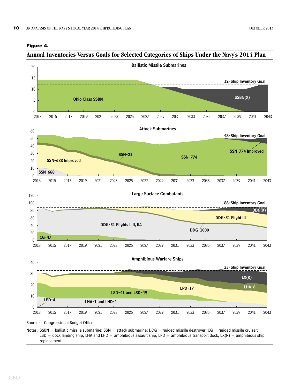

#### <span id="page-13-1"></span><span id="page-13-0"></span>**Figure 4.**

#### **Annual Inventories Versus Goals for Selected Categories of Ships Under the Navy's 2014 Plan**

Source: Congressional Budget Office.

Notes: SSBN = ballistic missile submarine; SSN = attack submarine; DDG = guided missile destroyer; CG = guided missile cruiser; LSD = dock landing ship; LHA and LHD = amphibious assault ship; LPD = amphibious transport dock; LX(R) = amphibious ship replacement.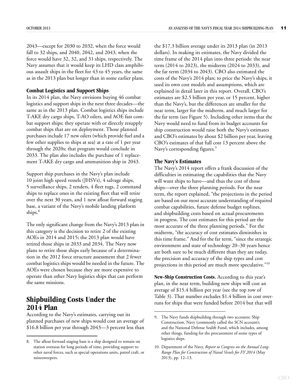2043—except for 2030 to 2032, when the force would fall to 32 ships, and 2040, 2042, and 2043, when the force would have 32, 32, and 31 ships, respectively. The Navy assumes that it would keep its LHD class amphibious assault ships in the fleet for 43 to 45 years, the same as in the 2013 plan but longer than in some earlier plans.

#### <span id="page-14-0"></span>**Combat Logistics and Support Ships**

In its 2014 plan, the Navy envisions buying 46 combat logistics and support ships in the next three decades—the same as in the 2013 plan. Combat logistics ships include T-AKE dry cargo ships, T-AO oilers, and AOE fast combat support ships; they operate with or directly resupply combat ships that are on deployment. Those planned purchases include 17 new oilers (which provide fuel and a few other supplies to ships at sea) at a rate of 1 per year through the 2020s; that program would conclude in 2033. The plan also includes the purchase of 1 replacement T-AKE dry cargo and ammunition ship in 2043.

Support ship purchases in the Navy's plan include 10 joint high speed vessels (JHSVs), 4 salvage ships, 5 surveillance ships, 2 tenders, 4 fleet tugs, 2 command ships to replace ones in the existing fleet that will retire over the next 30 years, and 1 new afloat forward staging base, a variant of the Navy's mobile landing platform ships.<sup>8</sup>

The only significant change from the Navy's 2013 plan in this category is the decision to retire 2 of the existing AOEs in 2014 and 2015; the 2013 plan would have retired those ships in 2033 and 2034. The Navy now plans to retire those ships early because of a determination in the 2012 force structure assessment that 2 fewer combat logistics ships would be needed in the future. The AOEs were chosen because they are more expensive to operate than other Navy logistics ships that can perform the same missions.

#### <span id="page-14-1"></span>**Shipbuilding Costs Under the 2014 Plan**

According to the Navy's estimates, carrying out its planned purchases of new ships would cost an average of \$16.8 billion per year through 2043—3 percent less than the \$17.3 billion average under its 2013 plan (in 2013 dollars). In making its estimates, the Navy divided the time frame of the 2014 plan into three periods: the near term (2014 to 2023), the midterm (2024 to 2033), and the far term (2034 to 2043). CBO also estimated the costs of the Navy's 2014 plan; to price the Navy's ships, it used its own cost models and assumptions, which are explained in detail later in this report. Overall, CBO's estimates are \$2.5 billion per year, or 15 percent, higher than the Navy's, but the differences are smaller for the near term, larger for the midterm, and much larger for the far term (see [Figure 5\)](#page-15-0). Including other items that the Navy would need to fund from its budget accounts for ship construction would raise both the Navy's estimates and CBO's estimates by about \$2 billion per year, leaving CBO's estimates of that full cost 13 percent above the Navy's corresponding figures.<sup>9</sup>

#### <span id="page-14-2"></span>**The Navy's Estimates**

The Navy's 2014 report offers a frank discussion of the difficulties in estimating the capabilities that the Navy will want ships to have—and thus the cost of those ships—over the three planning periods. For the near term, the report explained, "the projections in the period are based on our most accurate understanding of required combat capabilities, future defense budget toplines, and shipbuilding costs based on actual procurements in progress. The cost estimates for this period are the most accurate of the three planning periods." For the midterm, "the accuracy of cost estimates diminishes in this time frame." And for the far term, "since the strategic environment and state of technology 20–30 years hence are both sure to be much different than they are today, the precision and accuracy of the ship types and cost projections in this period are much more speculative."10

**New-Ship Construction Costs.** According to this year's plan, in the near term, building new ships will cost an average of \$15.4 billion per year (see the top row of [Table 3](#page-16-0)). That number excludes \$1.4 billion in cost overruns for ships that were funded before 2014 but that will

<sup>8.</sup> The afloat forward staging base is a ship designed to remain on station overseas for long periods of time, providing support to other naval forces, such as special operations units, patrol craft, or minesweepers.

<sup>9.</sup> The Navy funds shipbuilding through two accounts: Ship Construction, Navy (commonly called the SCN account); and the National Defense Sealift Fund, which includes, among other things, funding for the procurement of some types of logistics ships.

<sup>10.</sup> Department of the Navy, *Report to Congress on the Annual Long-Range Plan for Construction of Naval Vessels for FY 2014* (May 2013), pp. 12–13.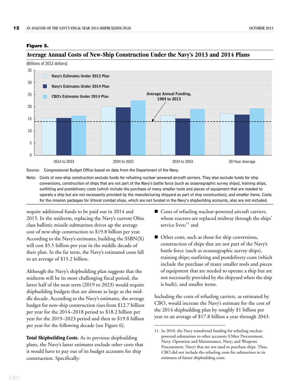#### <span id="page-15-1"></span><span id="page-15-0"></span>**Figure 5.**

#### **Average Annual Costs of New-Ship Construction Under the Navy's 2013 and 2014 Plans**

(Billions of 2013 dollars)



Source: Congressional Budget Office based on data from the Department of the Navy.

Note: Costs of new-ship construction exclude funds for refueling nuclear-powered aircraft carriers. They also exclude funds for ship conversions, construction of ships that are not part of the Navy's battle force (such as oceanographic survey ships), training ships, outfitting and postdelivery costs (which include the purchase of many smaller tools and pieces of equipment that are needed to operate a ship but are not necessarily provided by the manufacturing shipyard as part of ship construction), and smaller items. Costs for the mission packages for littoral combat ships, which are not funded in the Navy's shipbuilding accounts, also are not included.

require additional funds to be paid out in 2014 and 2015. In the midterm, replacing the Navy's current Ohio class ballistic missile submarines drives up the average cost of new-ship construction to \$19.8 billion per year. According to the Navy's estimates, building the SSBN(X) will cost \$5.5 billion per year in the middle decade of their plan. In the far term, the Navy's estimated costs fall to an average of \$15.2 billion.

Although the Navy's shipbuilding plan suggests that the midterm will be its most challenging fiscal period, the latter half of the near term (2019 to 2023) would require shipbuilding budgets that are almost as large as the middle decade. According to the Navy's estimates, the average budget for new-ship construction rises from \$12.7 billion per year for the 2014–2018 period to \$18.2 billion per year for the 2019–2023 period and then to \$19.8 billion per year for the following decade (see [Figure 6\)](#page-17-2).

**Total Shipbuilding Costs.** As in previous shipbuilding plans, the Navy's latest estimates exclude other costs that it would have to pay out of its budget accounts for ship construction. Specifically:

- Costs of refueling nuclear-powered aircraft carriers, whose reactors are replaced midway through the ships' service lives;<sup>11</sup> and
- Other costs, such as those for ship conversions, construction of ships that are not part of the Navy's battle force (such as oceanographic survey ships), training ships; outfitting and postdelivery costs (which include the purchase of many smaller tools and pieces of equipment that are needed to operate a ship but are not necessarily provided by the shipyard when the ship is built), and smaller items.

Including the costs of refueling carriers, as estimated by CBO, would increase the Navy's estimate for the cost of the 2014 shipbuilding plan by roughly \$1 billion per year to an average of \$17.8 billion a year through 2043.

<sup>11.</sup> In 2010, the Navy transferred funding for refueling nuclearpowered submarines to other accounts (Other Procurement, Navy; Operation and Maintenance, Navy; and Weapons Procurement, Navy) that are not used to purchase ships. Thus, CBO did not include the refueling costs for submarines in its estimates of future shipbuilding costs.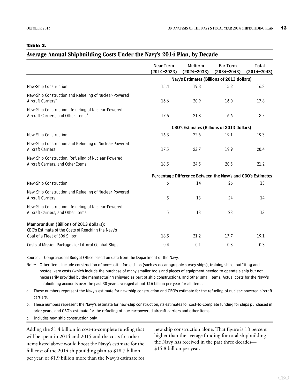#### <span id="page-16-0"></span>**Table 3.**

#### <span id="page-16-1"></span>**Average Annual Shipbuilding Costs Under the Navy's 2014 Plan, by Decade**

|                                                                                                        | <b>Near Term</b><br>(2014-2023) | <b>Midterm</b><br>$(2024 - 2033)$                            | Far Term<br>$(2034 - 2043)$ | <b>Total</b><br>$(2014 - 2043)$ |
|--------------------------------------------------------------------------------------------------------|---------------------------------|--------------------------------------------------------------|-----------------------------|---------------------------------|
|                                                                                                        |                                 | Navy's Estimates (Billions of 2013 dollars)                  |                             |                                 |
| New-Ship Construction                                                                                  | 15.4                            | 19.8                                                         | 15.2                        | 16.8                            |
| New-Ship Construction and Refueling of Nuclear-Powered<br>Aircraft Carriers <sup>a</sup>               | 16.6                            | 20.9                                                         | 16.0                        | 17.8                            |
| New-Ship Construction, Refueling of Nuclear-Powered<br>Aircraft Carriers, and Other Items <sup>b</sup> | 17.6                            | 21.8                                                         | 16.6                        | 18.7                            |
|                                                                                                        |                                 | CBO's Estimates (Billions of 2013 dollars)                   |                             |                                 |
| New-Ship Construction                                                                                  | 16.3                            | 22.6                                                         | 19.1                        | 19.3                            |
| New-Ship Construction and Refueling of Nuclear-Powered<br><b>Aircraft Carriers</b>                     | 17.5                            | 23.7                                                         | 19.9                        | 20.4                            |
| New-Ship Construction, Refueling of Nuclear-Powered<br>Aircraft Carriers, and Other Items              | 18.5                            | 24.5                                                         | 20.5                        | 21.2                            |
|                                                                                                        |                                 | Percentage Difference Between the Navy's and CBO's Estimates |                             |                                 |
| New-Ship Construction                                                                                  | 6                               | 14                                                           | 26                          | 15                              |
| New-Ship Construction and Refueling of Nuclear-Powered<br><b>Aircraft Carriers</b>                     | 5                               | 13                                                           | 24                          | 14                              |
| New-Ship Construction, Refueling of Nuclear-Powered<br>Aircraft Carriers, and Other Items              | 5                               | 13                                                           | 23                          | 13                              |
| Memorandum (Billions of 2013 dollars):<br>CBO's Estimate of the Costs of Reaching the Navy's           |                                 |                                                              |                             |                                 |
| Goal of a Fleet of 306 Ships <sup>c</sup>                                                              | 18.5                            | 21.2                                                         | 17.7                        | 19.1                            |
| Costs of Mission Packages for Littoral Combat Ships                                                    | 0.4                             | 0.1                                                          | 0.3                         | 0.3                             |

Source: Congressional Budget Office based on data from the Department of the Navy.

Note: Other items include construction of non–battle force ships (such as oceanographic survey ships), training ships, outfitting and postdelivery costs (which include the purchase of many smaller tools and pieces of equipment needed to operate a ship but not necessarily provided by the manufacturing shipyard as part of ship construction), and other small items. Actual costs for the Navy's shipbuilding accounts over the past 30 years averaged about \$16 billion per year for all items.

a. These numbers represent the Navy's estimate for new-ship construction and CBO's estimate for the refueling of nuclear-powered aircraft carriers.

b. These numbers represent the Navy's estimate for new-ship construction, its estimates for cost-to-complete funding for ships purchased in prior years, and CBO's estimate for the refueling of nuclear-powered aircraft carriers and other items.

c. Includes new-ship construction only.

Adding the \$1.4 billion in cost-to-complete funding that will be spent in 2014 and 2015 and the costs for other items listed above would boost the Navy's estimate for the full cost of the 2014 shipbuilding plan to \$18.7 billion per year, or \$1.9 billion more than the Navy's estimate for new ship construction alone. That figure is 18 percent higher than the average funding for total shipbuilding the Navy has received in the past three decades— \$15.8 billion per year.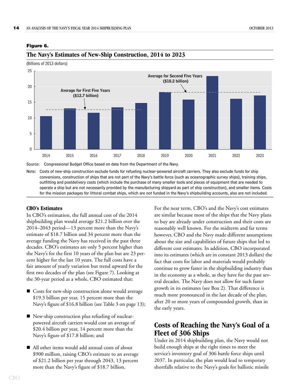#### <span id="page-17-3"></span><span id="page-17-2"></span>**Figure 6.**



#### **The Navy's Estimates of New-Ship Construction, 2014 to 2023**

(Billions of 2013 dollars)

Source: Congressional Budget Office based on data from the Department of the Navy.

Note: Costs of new-ship construction exclude funds for refueling nuclear-powered aircraft carriers. They also exclude funds for ship conversions, construction of ships that are not part of the Navy's battle force (such as oceanographic survey ships), training ships, outfitting and postdelivery costs (which include the purchase of many smaller tools and pieces of equipment that are needed to operate a ship but are not necessarily provided by the manufacturing shipyard as part of ship construction), and smaller items. Costs for the mission packages for littoral combat ships, which are not funded in the Navy's shipbuilding accounts, also are not included.

#### <span id="page-17-0"></span>**CBO's Estimates**

In CBO's estimation, the full annual cost of the 2014 shipbuilding plan would average \$21.2 billion over the 2014–2043 period—13 percent more than the Navy's estimate of \$18.7 billion and 34 percent more than the average funding the Navy has received in the past three decades. CBO's estimates are only 5 percent higher than the Navy's for the first 10 years of the plan but are 23 percent higher for the last 10 years. The full costs have a fair amount of yearly variation but trend upward for the first two decades of the plan (see [Figure 7](#page-18-0)). Looking at the 30-year period as a whole, CBO estimated that:

- Gosts for new-ship construction alone would average \$19.3 billion per year, 15 percent more than the Navy's figure of \$16.8 billion (see [Table 3 on page 13\)](#page-16-0);
- New-ship construction plus refueling of nuclearpowered aircraft carriers would cost an average of \$20.4 billion per year, 14 percent more than the Navy's figure of \$17.8 billion; and
- All other items would add annual costs of about \$900 million, raising CBO's estimate to an average of \$21.2 billion per year through 2043, 13 percent more than the Navy's figure of \$18.7 billion.

For the near term, CBO's and the Navy's cost estimates are similar because most of the ships that the Navy plans to buy are already under construction and their costs are reasonably well known. For the midterm and far terms however, CBO and the Navy made different assumptions about the size and capabilities of future ships that led to different cost estimates. In addition, CBO incorporated into its estimates (which are in constant 2013 dollars) the fact that costs for labor and materials would probably continue to grow faster in the shipbuilding industry than in the economy as a whole, as they have for the past several decades. The Navy does not allow for such faster growth in its estimates (see [Box 2](#page-19-1)). That difference is much more pronounced in the last decade of the plan, after 20 or more years of compounded growth, than in the early years.

#### <span id="page-17-1"></span>**Costs of Reaching the Navy's Goal of a Fleet of 306 Ships**

Under its 2014 shipbuilding plan, the Navy would not build enough ships at the right times to meet the service's inventory goal of 306 battle force ships until 2037. In particular, the plan would lead to temporary shortfalls relative to the Navy's goals for ballistic missile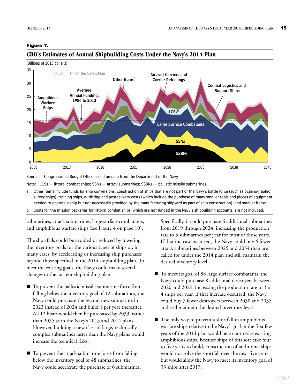#### <span id="page-18-1"></span><span id="page-18-0"></span>**Figure 7.**



#### **CBO's Estimates of Annual Shipbuilding Costs Under the Navy's 2014 Plan**

Source: Congressional Budget Office based on data from the Department of the Navy.

Note:  $LCSs =$  littoral combat ships; SSNs = attack submarines; SSBNs = ballistic missile submarines.

- a. Other items include funds for ship conversions, construction of ships that are not part of the Navy's battle force (such as oceanographic survey ships), training ships, outfitting and postdelivery costs (which include the purchase of many smaller tools and pieces of equipment needed to operate a ship but not necessarily provided by the manufacturing shipyard as part of ship construction), and smaller items.
- b. Costs for the mission packages for littoral combat ships, which are not funded in the Navy's shipbuilding accounts, are not included.

submarines, attack submarines, large surface combatants, and amphibious warfare ships (see [Figure 4 on page 10\)](#page-13-0).

The shortfalls could be avoided or reduced by lowering the inventory goals for the various types of ships or, in many cases, by accelerating or increasing ship purchases beyond those specified in the 2014 shipbuilding plan. To meet the existing goals, the Navy could make several changes to the current shipbuilding plan:

- To prevent the ballistic missile submarine force from falling below the inventory goal of 12 submarines, the Navy could purchase the second new submarine in 2023 instead of 2024 and build 1 per year thereafter. All 12 boats would then be purchased by 2033, rather than 2035 as in the Navy's 2013 and 2014 plans. However, building a new class of large, technically complex submarines faster than the Navy plans would increase the technical risks.
- To prevent the attack submarine force from falling below the inventory goal of 48 submarines, the Navy could accelerate the purchase of 6 submarines.

Specifically, it could purchase 6 additional submarines from 2019 through 2024, increasing the production rate to 3 submarines per year for most of those years. If that increase occurred, the Navy could buy 6 fewer attack submarines between 2025 and 2034 than are called for under the 2014 plan and still maintain the desired inventory level.

- To meet its goal of 88 large surface combatants, the Navy could purchase 8 additional destroyers between 2020 and 2029, increasing the production rate to 3 or 4 ships per year. If that increase occurred, the Navy could buy 7 fewer destroyers between 2030 and 2035 and still maintain the desired inventory level.
- The only way to prevent a shortfall in amphibious warfare ships relative to the Navy's goal in the first few years of the 2014 plan would be to not retire existing amphibious ships. Because ships of this sort take four to five years to build, construction of additional ships would not solve the shortfall over the next five years but would allow the Navy to meet its inventory goal of 33 ships after 2017.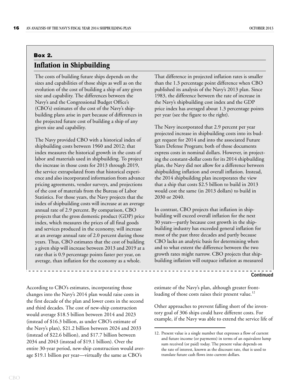#### <span id="page-19-1"></span><span id="page-19-0"></span>**Box 2. Inflation in Shipbuilding**

The costs of building future ships depends on the sizes and capabilities of those ships as well as on the evolution of the cost of building a ship of any given size and capability. The differences between the Navy's and the Congressional Budget Office's (CBO's) estimates of the cost of the Navy's shipbuilding plans arise in part because of differences in the projected future cost of building a ship of any given size and capability.

The Navy provided CBO with a historical index of shipbuilding costs between 1960 and 2012; that index measures the historical growth in the costs of labor and materials used in shipbuilding. To project the increase in those costs for 2013 through 2019, the service extrapolated from that historical experience and also incorporated information from advance pricing agreements, vendor surveys, and projections of the cost of materials from the Bureau of Labor Statistics. For those years, the Navy projects that the index of shipbuilding costs will increase at an average annual rate of 2.9 percent. By comparison, CBO projects that the gross domestic product (GDP) price index, which measures the prices of all final goods and services produced in the economy, will increase at an average annual rate of 2.0 percent during those years. Thus, CBO estimates that the cost of building a given ship will increase between 2013 and 2019 at a rate that is 0.9 percentage points faster per year, on average, than inflation for the economy as a whole.

According to CBO's estimates, incorporating those changes into the Navy's 2014 plan would raise costs in the first decade of the plan and lower costs in the second and third decades. The cost of new-ship construction would average \$18.5 billion between 2014 and 2023 (instead of \$16.3 billion, as under CBO's estimate of the Navy's plan), \$21.2 billion between 2024 and 2033 (instead of \$22.6 billion), and \$17.7 billion between 2034 and 2043 (instead of \$19.1 billion). Over the entire 30-year period, new-ship construction would average \$19.1 billion per year—virtually the same as CBO's

That difference in projected inflation rates is smaller than the 1.3 percentage point difference when CBO published its analysis of the Navy's 2013 plan. Since 1983, the difference between the rate of increase in the Navy's shipbuilding cost index and the GDP price index has averaged about 1.3 percentage points per year (see the figure to the right).

The Navy incorporated that 2.9 percent per year projected increase in shipbuilding costs into its budget request for 2014 and into the associated Future Years Defense Program; both of those documents express costs in nominal dollars. However, in projecting the constant-dollar costs for its 2014 shipbuilding plan, the Navy did not allow for a difference between shipbuilding inflation and overall inflation. Instead, the 2014 shipbuilding plan incorporates the view that a ship that costs \$2.5 billion to build in 2013 would cost the same (in 2013 dollars) to build in 2030 or 2040.

In contrast, CBO projects that inflation in shipbuilding will exceed overall inflation for the next 30 years—partly because cost growth in the shipbuilding industry has exceeded general inflation for most of the past three decades and partly because CBO lacks an analytic basis for determining when and to what extent the difference between the two growth rates might narrow. CBO projects that shipbuilding inflation will outpace inflation as measured

#### **Continued**

estimate of the Navy's plan, although greater frontloading of those costs raises their present value.<sup>12</sup>

Other approaches to prevent falling short of the inventory goal of 306 ships could have different costs. For example, if the Navy was able to extend the service life of

<sup>12.</sup> Present value is a single number that expresses a flow of current and future income (or payments) in terms of an equivalent lump sum received (or paid) today. The present value depends on the rate of interest, known as the discount rate, that is used to translate future cash flows into current dollars.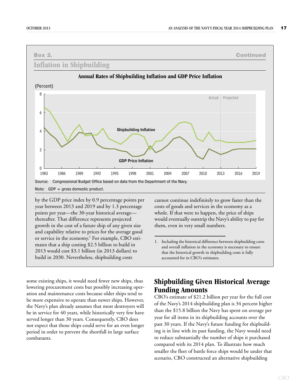

by the GDP price index by 0.9 percentage points per year between 2013 and 2019 and by 1.3 percentage points per year—the 30-year historical average thereafter. That difference represents projected growth in the cost of a future ship of any given size and capability relative to prices for the average good or service in the economy.<sup>1</sup> For example, CBO estimates that a ship costing \$2.5 billion to build in 2013 would cost \$3.1 billion (in 2013 dollars) to build in 2030. Nevertheless, shipbuilding costs

some existing ships, it would need fewer new ships, thus

lowering procurement costs but possibly increasing operation and maintenance costs because older ships tend to be more expensive to operate than newer ships. However, the Navy's plan already assumes that most destroyers will be in service for 40 years, while historically very few have served longer than 30 years. Consequently, CBO does not expect that those ships could serve for an even longer period in order to prevent the shortfall in large surface combatants.

cannot continue indefinitely to grow faster than the costs of goods and services in the economy as a whole. If that were to happen, the price of ships would eventually outstrip the Navy's ability to pay for them, even in very small numbers.

1. Including the historical difference between shipbuilding costs and overall inflation in the economy is necessary to ensure that the historical growth in shipbuilding costs is fully accounted for in CBO's estimates.

#### <span id="page-20-0"></span>**Shipbuilding Given Historical Average Funding Amounts**

CBO's estimate of \$21.2 billion per year for the full cost of the Navy's 2014 shipbuilding plan is 34 percent higher than the \$15.8 billion the Navy has spent on average per year for all items in its shipbuilding accounts over the past 30 years. If the Navy's future funding for shipbuilding is in line with its past funding, the Navy would need to reduce substantially the number of ships it purchased compared with its 2014 plan. To illustrate how much smaller the fleet of battle force ships would be under that scenario, CBO constructed an alternative shipbuilding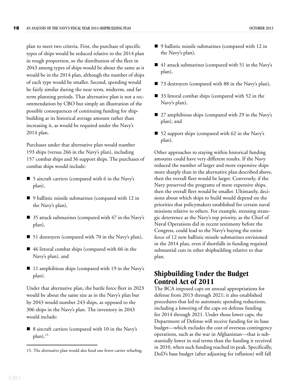plan to meet two criteria. First, the purchase of specific types of ships would be reduced relative to the 2014 plan in rough proportion, so the distribution of the fleet in 2043 among types of ships would be about the same as it would be in the 2014 plan, although the number of ships of each type would be smaller. Second, spending would be fairly similar during the near term, midterm, and far term planning periods. That alternative plan is not a recommendation by CBO but simply an illustration of the possible consequences of continuing funding for shipbuilding at its historical average amount rather than increasing it, as would be required under the Navy's 2014 plan.

Purchases under that alternative plan would number 193 ships (versus 266 in the Navy's plan), including 157 combat ships and 36 support ships. The purchases of combat ships would include:

- 5 aircraft carriers (compared with 6 in the Navy's plan),
- 9 ballistic missile submarines (compared with 12 in the Navy's plan),
- 35 attack submarines (compared with 47 in the Navy's plan),
- 51 destroyers (compared with 70 in the Navy's plan),
- 46 littoral combat ships (compared with 66 in the Navy's plan), and
- 11 amphibious ships (compared with 19 in the Navy's plan).

Under that alternative plan, the battle force fleet in 2023 would be about the same size as in the Navy's plan but by 2043 would number 243 ships, as opposed to the 306 ships in the Navy's plan. The inventory in 2043 would include:

■ 8 aircraft carriers (compared with 10 in the Navy's  $plan)$ ,<sup>13</sup>

- 41 attack submarines (compared with 51 in the Navy's plan),
- 73 destroyers (compared with 88 in the Navy's plan),
- 33 littoral combat ships (compared with 52 in the Navy's plan),
- 27 amphibious ships (compared with 29 in the Navy's plan), and
- 52 support ships (compared with 62 in the Navy's plan).

Other approaches to staying within historical funding amounts could have very different results. If the Navy reduced the number of larger and more expensive ships more sharply than in the alternative plan described above, then the overall fleet would be larger. Conversely, if the Navy preserved the programs of more expensive ships, then the overall fleet would be smaller. Ultimately, decisions about which ships to build would depend on the priorities that policymakers established for certain naval missions relative to others. For example, stressing strategic deterrence as the Navy's top priority, as the Chief of Naval Operations did in recent testimony before the Congress, could lead to the Navy's buying the entire force of 12 new ballistic missile submarines envisioned in the 2014 plan, even if shortfalls in funding required substantial cuts in other shipbuilding relative to that plan.

#### <span id="page-21-0"></span>**Shipbuilding Under the Budget Control Act of 2011**

The BCA imposed caps on annual appropriations for defense from 2013 through 2021; it also established procedures that led to automatic spending reductions, including a lowering of the caps on defense funding for 2014 through 2021. Under those lower caps, the Department of Defense will receive funding for its base budget—which excludes the cost of overseas contingency operations, such as the war in Afghanistan—that is substantially lower in real terms than the funding it received in 2010, when such funding reached its peak. Specifically, 13. The alternative plan would also fund one fewer carrier refueling.<br>DoD's base budget (after adjusting for inflation) will fall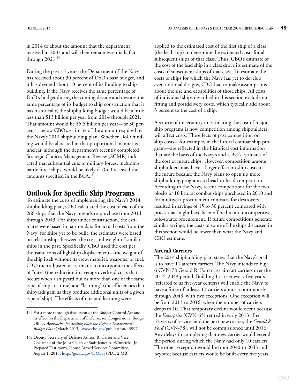in 2014 to about the amount that the department received in 2007 and will then remain essentially flat through  $2021.<sup>14</sup>$ 

During the past 15 years, the Department of the Navy has received about 30 percent of DoD's base budget, and it has devoted about 10 percent of its funding to shipbuilding. If the Navy receives the same percentage of DoD's budget during the coming decade and devotes the same percentage of its budget to ship construction that it has historically, the shipbuilding budget would be a little less than \$13 billion per year from 2014 through 2021. That amount would be \$5.5 billion per year—or 30 percent—below CBO's estimate of the amount required by the Navy's 2014 shipbuilding plan. Whether DoD funding would be allocated in that proportional manner is unclear, although the department's recently completed Strategic Choices Management Review (SCMR) indicated that substantial cuts to military forces, including battle force ships, would be likely if DoD received the amounts specified in the BCA.<sup>15</sup>

#### <span id="page-22-0"></span>**Outlook for Specific Ship Programs**

To estimate the costs of implementing the Navy's 2014 shipbuilding plan, CBO calculated the cost of each of the 266 ships that the Navy intends to purchase from 2014 through 2043. For ships under construction, the estimates were based in part on data for actual costs from the Navy; for ships yet to be built, the estimates were based on relationships between the cost and weight of similar ships in the past. Specifically, CBO used the cost per thousand tons of lightship displacement—the weight of the ship itself without its crew, materiel, weapons, or fuel. CBO then adjusted its estimates to incorporate the effects of "rate" (the reduction in average overhead costs that occurs when a shipyard builds more than one of the same type of ship at a time) and "learning" (the efficiencies that shipyards gain as they produce additional units of a given type of ship). The effects of rate and learning were

applied to the estimated cost of the first ship of a class (the lead ship) to determine the estimated costs for all subsequent ships of that class. Thus, CBO's estimate of the cost of the lead ship in a class drove its estimate of the costs of subsequent ships of that class. To estimate the costs of ships for which the Navy has yet to develop even notional designs, CBO had to make assumptions about the size and capabilities of those ships. All costs of individual ships described in this section exclude outfitting and postdelivery costs, which typically add about 3 percent to the cost of a ship.

A source of uncertainty in estimating the cost of major ship programs is how competition among shipbuilders will affect costs. The effects of past competition on ship costs—for example, in the littoral combat ship program—are reflected in the historical cost information that are the basis of the Navy's and CBO's estimates of the cost of future ships. However, competition among shipbuilders may have a larger effect on ship costs in the future because the Navy plans to open up more shipbuilding programs to head-to-head competition. According to the Navy, recent competitions for the two blocks of 10 littoral combat ships purchased in 2010 and for multiyear procurement contracts for destroyers resulted in savings of 15 to 30 percent compared with prices that might have been offered in an uncompetitive, sole-source procurement. If future competitions generate similar savings, the costs of some of the ships discussed in this section would be lower than what the Navy and CBO estimate.

#### <span id="page-22-1"></span>**Aircraft Carriers**

The 2014 shipbuilding plan states that the Navy's goal is to have 11 aircraft carriers. The Navy intends to buy 6 CVN-78 Gerald R. Ford class aircraft carriers over the 2014–2043 period. Building 1 carrier every five years (referred to as five-year centers) will enable the Navy to have a force of at least 11 carriers almost continuously through 2043, with two exceptions. One exception will be from 2013 to 2016, when the number of carriers drops to 10. That temporary decline would occur because the *Enterprise* (CVN-65) retired in early 2013 after 52 years of service, and the next new carrier, the *Gerald R. Ford* (CVN-78), will not be commissioned until 2016. Any delays in completing that new carrier would extend the period during which the Navy had only 10 carriers. The other exception would be from 2040 to 2043 and beyond; because carriers would be built every five years

<sup>14.</sup> For a more thorough discussion of the Budget Control Act and its effect on the Department of Defense, see Congressional Budget Office, *Approaches for Scaling Back the Defense Department's Budget Plans* (March 2013), [www.cbo.gov/publication/43997](http://www.cbo.gov/publication/43997).

<sup>15.</sup> Deputy Secretary of Defense Ashton B. Carter and Vice Chairman of the Joint Chiefs of Staff James A. Winnefeld, Jr., Prepared Testimony, House Armed Services Committee, August 1, 2013,<http://go.usa.gov/DMaH> (PDF, 2 MB).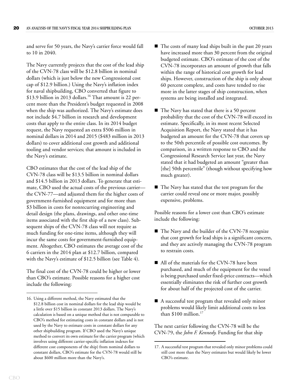and serve for 50 years, the Navy's carrier force would fall to 10 in 2040.

The Navy currently projects that the cost of the lead ship of the CVN-78 class will be \$12.8 billion in nominal dollars (which is just below the new Congressional cost cap of \$12.9 billion.) Using the Navy's inflation index for naval shipbuilding, CBO converted that figure to \$13.9 billion in 2013 dollars.<sup>16</sup> That amount is 22 percent more than the President's budget requested in 2008 when the ship was authorized. The Navy's estimate does not include \$4.7 billion in research and development costs that apply to the entire class. In its 2014 budget request, the Navy requested an extra \$506 million in nominal dollars in 2014 and 2015 (\$483 million in 2013 dollars) to cover additional cost growth and additional tooling and vendor services; that amount is included in the Navy's estimate.

CBO estimates that the cost of the lead ship of the CVN-78 class will be \$13.5 billion in nominal dollars and \$14.5 billion in 2013 dollars. To generate that estimate, CBO used the actual costs of the previous carrier the CVN-77—and adjusted them for the higher costs of government-furnished equipment and for more than \$3 billion in costs for nonrecurring engineering and detail design (the plans, drawings, and other one-time items associated with the first ship of a new class). Subsequent ships of the CVN-78 class will not require as much funding for one-time items, although they will incur the same costs for government-furnished equipment. Altogether, CBO estimates the average cost of the 6 carriers in the 2014 plan at \$12.7 billion, compared with the Navy's estimate of \$12.5 billion (see [Table 4\)](#page-24-1).

The final cost of the CVN-78 could be higher or lower than CBO's estimate. Possible reasons for a higher cost include the following:

- $\blacksquare$  The costs of many lead ships built in the past 20 years have increased more than 30 percent from the original budgeted estimate. CBO's estimate of the cost of the CVN-78 incorporates an amount of growth that falls within the range of historical cost growth for lead ships. However, construction of the ship is only about 60 percent complete, and costs have tended to rise more in the latter stages of ship construction, when systems are being installed and integrated.
- The Navy has stated that there is a 50 percent probability that the cost of the CVN-78 will exceed its estimate. Specifically, in its most recent Selected Acquisition Report, the Navy stated that it has budgeted an amount for the CVN-78 that covers up to the 50th percentile of possible cost outcomes. By comparison, in a written response to CBO and the Congressional Research Service last year, the Navy stated that it had budgeted an amount "greater than [the] 50th percentile" (though without specifying how much greater).
- The Navy has stated that the test program for the carrier could reveal one or more major, possibly expensive, problems.

Possible reasons for a lower cost than CBO's estimate include the following:

- The Navy and the builder of the CVN-78 recognize that cost growth for lead ships is a significant concern, and they are actively managing the CVN-78 program to restrain costs.
- All of the materials for the CVN-78 have been purchased, and much of the equipment for the vessel is being purchased under fixed-price contracts—which essentially eliminates the risk of further cost growth for about half of the projected cost of the carrier.
- A successful test program that revealed only minor problems would likely limit additional costs to less than \$100 million.<sup>17</sup>

The next carrier following the CVN-78 will be the CVN-79, the *John F. Kennedy*. Funding for that ship

<sup>16.</sup> Using a different method, the Navy estimated that the \$12.8 billion cost in nominal dollars for the lead ship would be a little over \$15 billion in constant 2013 dollars. The Navy's calculation is based on a unique method that is not comparable to CBO's method for estimating costs in constant dollars and is not used by the Navy to estimate costs in constant dollars for any other shipbuilding program. If CBO used the Navy's unique method to convert its own estimate for the carrier program (which involves using different carrier-specific inflation indexes for different cost components of the ship) from nominal dollars to constant dollars, CBO's estimate for the CVN-78 would still be about \$600 million more than the Navy's.

<sup>17.</sup> A successful test program that revealed only minor problems could still cost more than the Navy estimates but would likely be lower CBO's estimate.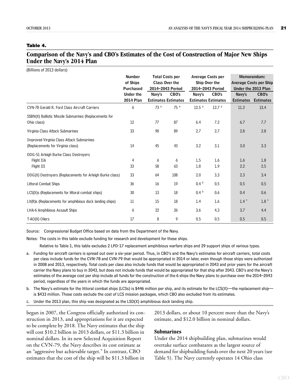#### <span id="page-24-1"></span>**Table 4.**

#### **Comparison of the Navy's and CBO's Estimates of the Cost of Construction of Major New Ships Under the Navy's 2014 Plan**

| (Billions of 2013 dollars)                                                            |                                               |                                                                     |                                     |                                                               |                                     |                                                                     |                           |
|---------------------------------------------------------------------------------------|-----------------------------------------------|---------------------------------------------------------------------|-------------------------------------|---------------------------------------------------------------|-------------------------------------|---------------------------------------------------------------------|---------------------------|
|                                                                                       | <b>Number</b><br>of Ships<br><b>Purchased</b> | <b>Total Costs per</b><br><b>Class Over the</b><br>2014-2043 Period |                                     | <b>Average Costs per</b><br>Ship Over the<br>2014-2043 Period |                                     | Memorandum:<br><b>Average Costs per Ship</b><br>Under the 2013 Plan |                           |
|                                                                                       | <b>Under the</b><br><b>2014 Plan</b>          | Navy's                                                              | CBO's<br><b>Estimates Estimates</b> | Navy's                                                        | CBO's<br><b>Estimates Estimates</b> | Navy's<br><b>Estimates</b>                                          | CBO's<br><b>Estimates</b> |
| CVN-78 Gerald R. Ford Class Aircraft Carriers                                         | 6                                             | 73 <sup>a</sup>                                                     | 75a                                 | 12.5 <sup>a</sup>                                             | 12.7 <sup>a</sup>                   | 11.2                                                                | 13.4                      |
| SSBN(X) Ballistic Missile Submarines (Replacements for<br>Ohio class)                 | 12                                            | 77                                                                  | 87                                  | 6.4                                                           | 7.2                                 | 6.7                                                                 | 7.7                       |
| Virginia Class Attack Submarines                                                      | 33                                            | 90                                                                  | 89                                  | 2.7                                                           | 2.7                                 | 2.8                                                                 | 2.8                       |
| <b>Improved Virginia Class Attack Submarines</b><br>(Replacements for Virginia class) | 14                                            | 45                                                                  | 43                                  | 3.2                                                           | 3.1                                 | 3.0                                                                 | 3.3                       |
| DDG-51 Arleigh Burke Class Destroyers<br>Flight IIA<br>Flight III                     | 4<br>33                                       | 6<br>58                                                             | 6<br>63                             | 1.5<br>1.8                                                    | 1.6<br>1.9                          | $1.6\phantom{0}$<br>2.2                                             | 1.8<br>2.5                |
| DDG(X) Destroyers (Replacements for Arleigh Burke class)                              | 33                                            | 64                                                                  | 108                                 | 2.0                                                           | 3.3                                 | 2.3                                                                 | 3.4                       |
| <b>Littoral Combat Ships</b>                                                          | 36                                            | 16                                                                  | 19                                  | 0.4 <sup>b</sup>                                              | 0.5                                 | 0.5                                                                 | 0.5                       |
| LCS(X)s (Replacements for littoral combat ships)                                      | 30                                            | 13                                                                  | 18                                  | 0.4 <sup>b</sup>                                              | 0.6                                 | 0.4                                                                 | 0.6                       |
| LX(R)s (Replacements for amphibious dock landing ships)                               | 11                                            | 15                                                                  | 18                                  | 1.4                                                           | $1.6\phantom{0}$                    | $1.4$ <sup>c</sup>                                                  | $1.8$ $c$                 |
| LHA-6 Amphibious Assault Ships                                                        | 6                                             | 22                                                                  | 26                                  | 3.6                                                           | 4.3                                 | 3.7                                                                 | 4.4                       |
| T-AO(X) Oilers                                                                        | 17                                            | 8                                                                   | 9                                   | 0.5                                                           | 0.5                                 | 0.5                                                                 | 0.5                       |

Source: Congressional Budget Office based on data from the Department of the Navy.

Notes: The costs in this table exclude funding for research and development for these ships.

Relative to Table 1, this table excludes 2 LPD-17 replacement amphibious warfare ships and 29 support ships of various types.

- a. Funding for aircraft carriers is spread out over a six-year period. Thus, in CBO's and the Navy's estimates for aircraft carriers, total costs per class include funds for the CVN-78 and CVN-79 that would be appropriated in 2014 or later, even though those ships were authorized in 2008 and 2013, respectively. Total costs per class also include funds that would be appropriated in 2043 and prior years for the aircraft carrier the Navy plans to buy in 2043, but does not include funds that would be appropriated for that ship after 2043. CBO's and the Navy's estimates of the average cost per ship include all funds for the construction of the 6 ships the Navy plans to purchase over the 2014–2043 period, regardless of the years in which the funds are appropriated.
- b. The Navy's estimate for the littoral combat ships (LCSs) is \$446 million per ship, and its estimate for the LCS(X)—the replacement ship is \$433 million. Those costs exclude the cost of LCS mission packages, which CBO also excluded from its estimates.
- c. Under the 2013 plan, this ship was designated as the LSD(X) amphibious dock landing ship.

began in 2007, the Congress officially authorized its construction in 2013, and appropriations for it are expected to be complete by 2018. The Navy estimates that the ship will cost \$10.2 billion in 2013 dollars, or \$11.3 billion in nominal dollars. In its new Selected Acquisition Report on the CVN-79, the Navy describes its cost estimate as an "aggressive but achievable target." In contrast, CBO estimates that the cost of the ship will be \$11.3 billion in

2013 dollars, or about 10 percent more than the Navy's estimate, and \$12.0 billion in nominal dollars.

#### <span id="page-24-0"></span>**Submarines**

Under the 2014 shipbuilding plan, submarines would overtake surface combatants as the largest source of demand for shipbuilding funds over the next 20 years (see [Table 5](#page-25-0)). The Navy currently operates 14 Ohio class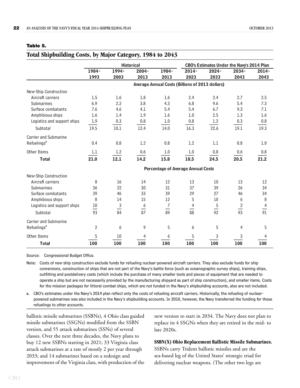<span id="page-25-0"></span>

| ۰.<br>۰.<br>۰.<br>×<br>v. |  |
|---------------------------|--|
|---------------------------|--|

<span id="page-25-1"></span>

|                              | <b>Historical</b> |               |          | CBO's Estimates Under the Navy's 2014 Plan      |                |               |            |                |
|------------------------------|-------------------|---------------|----------|-------------------------------------------------|----------------|---------------|------------|----------------|
|                              | 1984-             | 1994-         | $2004 -$ | 1984-                                           | $2014 -$       | $2024 -$      | $2034 -$   | $2014 -$       |
|                              | 1993              | 2003          | 2013     | 2013                                            | 2023           | 2033          | 2043       | 2043           |
|                              |                   |               |          | Average Annual Costs (Billions of 2013 dollars) |                |               |            |                |
| New-Ship Construction        |                   |               |          |                                                 |                |               |            |                |
| Aircraft carriers            | 1.5               | 1.6           | 1.8      | 1.6                                             | 2.4            | 2.4           | 2.7        | 2.5            |
| Submarines                   | 6.9               | 2.2           | 3.8      | 4.3                                             | 6.8            | 9.6           | 5.4        | 7.3            |
| Surface combatants           | 7.6               | 4.6           | 4.1      | 5.4                                             | 5.4            | 6.7           | 9.3        | 7.1            |
| Amphibious ships             | 1.6               | 1.4           | 1.9      | 1.6                                             | 1.0            | 2.5           | 1.3        | 1.6            |
| Logistics and support ships  | 1.9               | 0.3           | 0.8      | 1.0                                             | 0.8            | 1.2           | 0.3        | 0.8            |
| Subtotal                     | 19.5              | 10.1          | 12.4     | 14.0                                            | 16.3           | 22.6          | 19.1       | 19.3           |
| <b>Carrier and Submarine</b> |                   |               |          |                                                 |                |               |            |                |
| Refuelings <sup>a</sup>      | 0.4               | 0.8           | 1.2      | 0.8                                             | 1.2            | 1.1           | 0.8        | 1.0            |
| Other Items                  | 1.1               | 1.2           | 0.6      | 1.0                                             | 1.0            | 0.8           | 0.6        | 0.8            |
| <b>Total</b>                 | 21.0              | 12.1          | 14.2     | 15.8                                            | 18.5           | 24.5          | 20.5       | 21.2           |
|                              |                   |               |          | Percentage of Average Annual Costs              |                |               |            |                |
| New-Ship Construction        |                   |               |          |                                                 |                |               |            |                |
| Aircraft carriers            | 8                 | 16            | 14       | 12                                              | 13             | 10            | 13         | 12             |
| Submarines                   | 36                | 22            | 30       | 31                                              | 37             | 39            | 26         | 34             |
| Surface combatants           | 39                | 46            | 33       | 39                                              | 29             | 27            | 46         | 34             |
| Amphibious ships             | 8                 | 14            | 15       | 12                                              | 5              | 10            | 6          | $\, 8$         |
| Logistics and support ships  | 10                | $\frac{3}{2}$ | 6        | $\overline{7}$                                  | $\overline{4}$ | $\frac{5}{1}$ | $\sqrt{2}$ | $\overline{4}$ |
| Subtotal                     | 93                | 84            | 87       | 89                                              | 88             | 92            | 93         | 91             |
| <b>Carrier and Submarine</b> |                   |               |          |                                                 |                |               |            |                |
| Refuelings <sup>a</sup>      | $\overline{2}$    | 6             | 9        | 5                                               | 6              | 5             | 4          | 5              |
| Other Items                  | 5                 | 10            | 4        | 6                                               | 5              | 3             | 3          | 4              |
| <b>Total</b>                 | 100               | 100           | 100      | 100                                             | 100            | 100           | 100        | 100            |

Source: Congressional Budget Office.

Note: Costs of new-ship construction exclude funds for refueling nuclear-powered aircraft carriers. They also exclude funds for ship conversions, construction of ships that are not part of the Navy's battle force (such as oceanographic survey ships), training ships, outfitting and postdelivery costs (which include the purchase of many smaller tools and pieces of equipment that are needed to operate a ship but are not necessarily provided by the manufacturing shipyard as part of ship construction), and smaller items. Costs for the mission packages for littoral combat ships, which are not funded in the Navy's shipbuilding accounts, also are not included.

a. CBO's estimates under the Navy's 2014 plan reflect only the costs of refueling aircraft carriers. Historically, the refueling of nuclearpowered submarines was also included in the Navy's shipbuilding accounts. In 2010, however, the Navy transferred the funding for those refuelings to other accounts.

ballistic missile submarines (SSBNs), 4 Ohio class guided missile submarines (SSGNs) modified from the SSBN version, and 55 attack submarines (SSNs) of several classes. Over the next three decades, the Navy plans to buy 12 new SSBNs starting in 2021; 33 Virginia class attack submarines at a rate of mostly 2 per year through 2033; and 14 submarines based on a redesign and improvement of the Virginia class, with production of the

new version to start in 2034. The Navy does not plan to replace its 4 SSGNs when they are retired in the mid- to late 2020s.

#### **SSBN(X) Ohio Replacement Ballistic Missile Submarines.**

SSBNs carry Trident ballistic missiles and are the sea-based leg of the United States' strategic triad for delivering nuclear weapons. (The other two legs are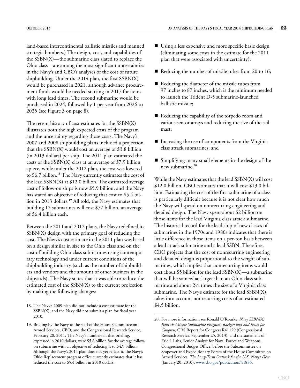land-based intercontinental ballistic missiles and manned strategic bombers.) The design, cost, and capabilities of the SSBN(X)—the submarine class slated to replace the Ohio class—are among the most significant uncertainties in the Navy's and CBO's analyses of the cost of future shipbuilding. Under the 2014 plan, the first SSBN(X) would be purchased in 2021, although advance procurement funds would be needed starting in 2017 for items with long lead times. The second submarine would be purchased in 2024, followed by 1 per year from 2026 to 2035 (see [Figure 3 on page 8](#page-11-0)).

The recent history of cost estimates for the SSBN(X) illustrates both the high expected costs of the program and the uncertainty regarding those costs. The Navy's 2007 and 2008 shipbuilding plans included a projection that the SSBN(X) would cost an average of \$3.8 billion (in 2013 dollars) per ship. The 2011 plan estimated the costs of the SSBN(X) class at an average of \$7.9 billion apiece, while under the 2012 plan, the cost was lowered to \$6.7 billion.<sup>18</sup> The Navy currently estimates the cost of the lead SSBN(X) at \$12.0 billion. The estimated average cost of follow-on ships is now \$5.9 billion, and the Navy has stated an objective of reducing that cost to \$5.4 billion in 2013 dollars.<sup>19</sup> All told, the Navy estimates that building 12 submarines will cost \$77 billion, an average of \$6.4 billion each.

Between the 2011 and 2012 plans, the Navy redefined its SSBN(X) design with the primary goal of reducing the cost. The Navy's cost estimate in the 2011 plan was based on a design similar in size to the Ohio class and on the cost of building Ohio class submarines using contemporary technology and under current conditions of the shipbuilding industry (such as the number of shipbuilders and vendors and the amount of other business in the shipyards). The Navy states that it was able to reduce the estimated cost of the SSBN(X) to the current projection by making the following changes:

- Using a less expensive and more specific basic design (eliminating some costs in the estimate for the 2011 plan that were associated with uncertainty);
- Reducing the number of missile tubes from 20 to 16;
- Reducing the diameter of the missile tubes from 97 inches to 87 inches, which is the minimum needed to launch the Trident D-5 submarine-launched ballistic missile;
- Reducing the capability of the torpedo room and various sensor arrays and reducing the size of the sail mast;
- $\blacksquare$  Increasing the use of components from the Virginia class attack submarines; and
- Simplifying many small elements in the design of the new submarine.<sup>20</sup>

While the Navy estimates that the lead SSBN(X) will cost \$12.0 billion, CBO estimates that it will cost \$13.0 billion. Estimating the cost of the first submarine of a class is particularly difficult because it is not clear how much the Navy will spend on nonrecurring engineering and detailed design. The Navy spent about \$2 billion on those items for the lead Virginia class attack submarine. The historical record for the lead ship of new classes of submarines in the 1970s and 1980s indicates that there is little difference in those items on a per-ton basis between a lead attack submarine and a lead SSBN. Therefore, CBO projects that the cost of nonrecurring engineering and detailed design is proportional to the weight of submarines, which implies that nonrecurring items would cost about \$5 billion for the lead SSBN(X)—a submarine that will be somewhat larger than an Ohio class submarine and about 2½ times the size of a Virginia class submarine. The Navy's estimate for the lead SSBN(X) takes into account nonrecurring costs of an estimated

<sup>18.</sup> The Navy's 2009 plan did not include a cost estimate for the \$4.5 billion. SSBN(X), and the Navy did not submit a plan for fiscal year 2010.

<sup>19.</sup> Briefing by the Navy to the staff of the House Committee on Armed Services, CBO, and the Congressional Research Service, February 28, 2011. The Navy's numbers in that briefing, expressed in 2010 dollars, were \$5.6 billion for the average followon submarine with an objective of reducing it to \$4.9 billion. Although the Navy's 2014 plan does not yet reflect it, the Navy's Ohio Replacement program office currently estimates that it has reduced the cost to \$5.4 billion in 2010 dollars.

<sup>20.</sup> For more information, see Ronald O'Rourke, *Navy SSBN(X) Ballistic Missile Submarine Program: Background and Issues for Congress,* CRS Report for Congress R41129 (Congressional Research Service, September 25, 2013); and the statement of Eric J. Labs, Senior Analyst for Naval Forces and Weapons, Congressional Budget Office, before the Subcommittee on Seapower and Expeditionary Forces of the House Committee on Armed Services, *The Long-Term Outlook for the U.S. Navy's Fleet*  (January 20, 2010), [www.cbo.gov/publication/41886](http://www.cbo.gov/publication/41886).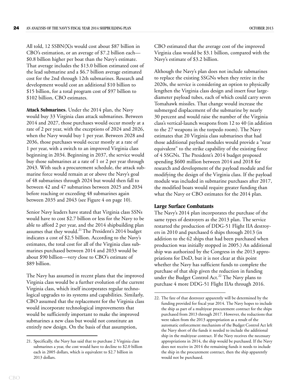All told, 12 SSBN(X)s would cost about \$87 billion in CBO's estimation, or an average of \$7.2 billion each— \$0.8 billion higher per boat than the Navy's estimate. That average includes the \$13.0 billion estimated cost of the lead submarine and a \$6.7 billion average estimated cost for the 2nd through 12th submarines. Research and development would cost an additional \$10 billion to \$15 billion, for a total program cost of \$97 billion to \$102 billion, CBO estimates.

**Attack Submarines.** Under the 2014 plan, the Navy would buy 33 Virginia class attack submarines. Between 2014 and 2027, those purchases would occur mostly at a rate of 2 per year, with the exceptions of 2024 and 2026, when the Navy would buy 1 per year. Between 2028 and 2036, those purchases would occur mostly at a rate of 1 per year, with a switch to an improved Virginia class beginning in 2034. Beginning in 2037, the service would buy those submarines at a rate of 1 or 2 per year through 2043. With such a procurement schedule, the attack submarine force would remain at or above the Navy's goal of 48 submarines through 2024 but would then fall to between 42 and 47 submarines between 2025 and 2034 before reaching or exceeding 48 submarines again between 2035 and 2043 (see [Figure 4 on page 10\)](#page-13-0).

Senior Navy leaders have stated that Virginia class SSNs would have to cost \$2.7 billion or less for the Navy to be able to afford 2 per year, and the 2014 shipbuilding plan assumes that they would.<sup>21</sup> The President's 2014 budget indicates a cost of \$2.5 billion. According to the Navy's estimates, the total cost for all of the Virginia class submarines purchased between 2014 and 2033 would be about \$90 billion—very close to CBO's estimate of \$89 billion.

The Navy has assumed in recent plans that the improved Virginia class would be a further evolution of the current Virginia class, which itself incorporates regular technological upgrades to its systems and capabilities. Similarly, CBO assumed that the replacement for the Virginia class would incorporate technological improvements that would be sufficiently important to make the improved submarines a new class but would not constitute an entirely new design. On the basis of that assumption,

CBO estimated that the average cost of the improved Virginia class would be \$3.1 billion, compared with the Navy's estimate of \$3.2 billion.

Although the Navy's plan does not include submarines to replace the existing SSGNs when they retire in the 2020s, the service is considering an option to physically lengthen the Virginia class design and insert four largediameter payload tubes, each of which could carry seven Tomahawk missiles. That change would increase the submerged displacement of the submarine by nearly 30 percent and would raise the number of the Virginia class's vertical-launch weapons from 12 to 40 (in addition to the 27 weapons in the torpedo room). The Navy estimates that 20 Virginia class submarines that had those additional payload modules would provide a "near equivalent" to the strike capability of the existing force of 4 SSGNs. The President's 2014 budget proposed spending \$600 million between 2014 and 2018 for research and development of the payload module and for modifying the design of the Virginia class. If the payload module was included in submarine purchases after 2017, the modified boats would require greater funding than what the Navy or CBO estimates for the 2014 plan.

#### <span id="page-27-0"></span>**Large Surface Combatants**

The Navy's 2014 plan incorporates the purchase of the same types of destroyers as the 2013 plan. The service restarted the production of DDG-51 Flight IIA destroyers in 2010 and purchased 6 ships through 2013 (in addition to the 62 ships that had been purchased when production was initially stopped in 2005.) An additional ship was authorized by the Congress in the 2013 appropriations for DoD, but it is not clear at this point whether the Navy has sufficient funds to complete the purchase of that ship given the reduction in funding under the Budget Control Act.<sup>22</sup> The Navy plans to purchase 4 more DDG-51 Flight IIAs through 2016.

<sup>21.</sup> Specifically, the Navy has said that to purchase 2 Virginia class submarines a year, the cost would have to decline to \$2.0 billion each in 2005 dollars, which is equivalent to \$2.7 billion in 2013 dollars.

<sup>22.</sup> The fate of that destroyer apparently will be determined by the funding provided for fiscal year 2014. The Navy hopes to include the ship as part of a multiyear procurement contract for the ships purchased from 2013 through 2017. However, the reductions that were taken from the 2013 appropriation as a result of the automatic enforcement mechanism of the Budget Control Act left the Navy short of the funds it needed to include the additional ship in the multiyear contract. If the Navy receives the necessary appropriations in 2014, the ship would be purchased. If the Navy does not receive in 2014 the remaining funds it needs to include the ship in the procurement contract, then the ship apparently would not be purchased.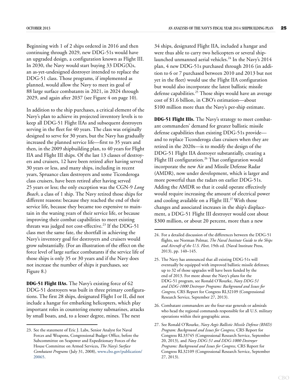Beginning with 1 of 2 ships ordered in 2016 and then continuing through 2029, new DDG-51s would have an upgraded design, a configuration known as Flight III. In 2030, the Navy would start buying  $33$  DDG(X)s, an as-yet-undesigned destroyer intended to replace the DDG-51 class. Those programs, if implemented as planned, would allow the Navy to meet its goal of 88 large surface combatants in 2021, in 2024 through 2029, and again after 2037 (see [Figure 4 on page 10\)](#page-13-0).

In addition to the ship purchases, a critical element of the Navy's plan to achieve its projected inventory levels is to keep all DDG-51 Flight IIAs and subsequent destroyers serving in the fleet for 40 years. The class was originally designed to serve for 30 years, but the Navy has gradually increased the planned service life—first to 35 years and then, in the 2009 shipbuilding plan, to 40 years for Flight IIA and Flight III ships. Of the last 13 classes of destroyers and cruisers, 12 have been retired after having served 30 years or less, and many ships, including in recent years, Spruance class destroyers and some Ticonderoga class cruisers, have been retired after having served 25 years or less; the only exception was the CGN-9 *Long Beach*, a class of 1 ship. The Navy retired those ships for different reasons: because they reached the end of their service life, because they became too expensive to maintain in the waning years of their service life, or because improving their combat capabilities to meet existing threats was judged not cost-effective.<sup>23</sup> If the DDG-51 class met the same fate, the shortfall in achieving the Navy's inventory goal for destroyers and cruisers would grow substantially. (For an illustration of the effect on the force level of large surface combatants if the service life of those ships is only 35 or 30 years and if the Navy does not increase the number of ships it purchases, see [Figure 8](#page-29-0).)

**DDG-51 Flight IIAs.** The Navy's existing force of 62 DDG-51 destroyers was built in three primary configurations. The first 28 ships, designated Flight I or II, did not include a hangar for embarking helicopters, which play important roles in countering enemy submarines, attacks by small boats, and, to a lesser degree, mines. The next

34 ships, designated Flight IIA, included a hangar and were thus able to carry two helicopters or several shiplaunched unmanned aerial vehicles.<sup>24</sup> In the Navy's 2014 plan, 4 new DDG-51s purchased through 2016 (in addition to 6 or 7 purchased between 2010 and 2013 but not yet in the fleet) would use the Flight IIA configuration but would also incorporate the latest ballistic missile defense capabilities.<sup>25</sup> Those ships would have an average cost of \$1.6 billion, in CBO's estimation—about \$100 million more than the Navy's per-ship estimate.

**DDG-51 Flight IIIs.** The Navy's strategy to meet combatant commanders' demand for greater ballistic missile defense capabilities than existing DDG-51s provide and to replace Ticonderoga class cruisers when they are retired in the 2020s—is to modify the design of the DDG-51 Flight IIA destroyer substantially, creating a Flight III configuration.<sup>26</sup> That configuration would incorporate the new Air and Missile Defense Radar (AMDR), now under development, which is larger and more powerful than the radars on earlier DDG-51s. Adding the AMDR so that it could operate effectively would require increasing the amount of electrical power and cooling available on a Flight III.<sup>27</sup> With those changes and associated increases in the ship's displacement, a DDG-51 Flight III destroyer would cost about \$300 million, or about 20 percent, more than a new

<sup>23.</sup> See the statement of Eric J. Labs, Senior Analyst for Naval Forces and Weapons, Congressional Budget Office, before the Subcommittee on Seapower and Expeditionary Forces of the House Committee on Armed Services**,** *The Navy's Surface Combatant Programs* (July 31, 2008), [www.cbo.gov/publication/](http://www.cbo.gov/publication/20065) [20065.](http://www.cbo.gov/publication/20065)

<sup>24.</sup> For a detailed discussion of the differences between the DDG-51 flights, see Norman Polmar, *The Naval Institute Guide to the Ships and Aircraft of the U.S. Fleet,* 19th ed. (Naval Institute Press, 2013), pp. 140–145.

<sup>25.</sup> The Navy has announced that all existing DDG-51s will eventually be equipped with improved ballistic missile defenses; up to 32 of those upgrades will have been funded by the end of 2013. For more about the Navy's plans for the DDG-51 program, see Ronald O'Rourke, *Navy DDG-51 and DDG-1000 Destroyer Programs: Background and Issues for Congress,* CRS Report for Congress RL32109 (Congressional Research Service, September 27, 2013).

<sup>26.</sup> Combatant commanders are the four-star generals or admirals who head the regional commands responsible for all U.S. military operations within their geographic areas.

<sup>27.</sup> See Ronald O'Rourke, *Navy Aegis Ballistic Missile Defense (BMD) Program: Background and Issues for Congress,* CRS Report for Congress RL33745 (Congressional Research Service, September 20, 2013), and *Navy DDG-51 and DDG-1000 Destroyer Programs: Background and Issues for Congress,* CRS Report for Congress RL32109 (Congressional Research Service, September 27, 2013).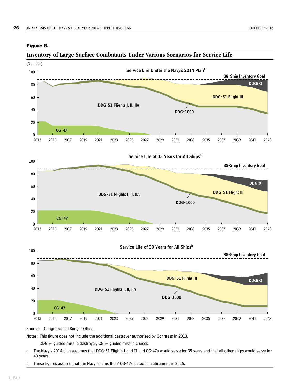<span id="page-29-1"></span><span id="page-29-0"></span>



Source: Congressional Budget Office.

Notes: This figure does not include the additional destroyer authorized by Congress in 2013.

 $DDG =$  guided missile destroyer;  $CG =$  guided missile cruiser.

- a. The Navy's 2014 plan assumes that DDG-51 Flights I and II and CG-47s would serve for 35 years and that all other ships would serve for 40 years.
- b. These figures assume that the Navy retains the 7 CG-47s slated for retirement in 2015.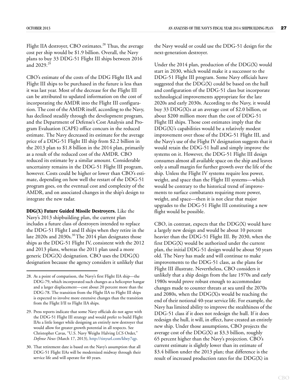Flight IIA destroyer, CBO estimates.<sup>28</sup> Thus, the average cost per ship would be \$1.9 billion. Overall, the Navy plans to buy 33 DDG-51 Flight III ships between 2016 and 2029.<sup>29</sup>

CBO's estimate of the costs of the DDG Flight IIA and Flight III ships to be purchased in the future is less than it was last year. Most of the decrease for the Flight III can be attributed to updated information on the cost of incorporating the AMDR into the Flight III configuration. The cost of the AMDR itself, according to the Navy, has declined steadily through the development program, and the Department of Defense's Cost Analysis and Program Evaluation (CAPE) office concurs in the reduced estimate. The Navy decreased its estimate for the average price of a DDG-51 Flight III ship from \$2.2 billion in the 2013 plan to \$1.8 billion in the 2014 plan, primarily as a result of the reduced cost of the AMDR. CBO reduced its estimate by a similar amount. Considerable uncertainty remains in the DDG-51 Flight III program, however. Costs could be higher or lower than CBO's estimate, depending on how well the restart of the DDG-51 program goes, on the eventual cost and complexity of the AMDR, and on associated changes in the ship's design to integrate the new radar.

**DDG(X) Future Guided Missile Destroyers.** Like the Navy's 2013 shipbuilding plan, the current plan includes a future class of destroyers intended to replace the DDG-51 Flight I and II ships when they retire in the late 2020s and 2030s.<sup>30</sup> The 2014 plan designates those ships as the DDG-51 Flight IV, consistent with the 2012 and 2013 plans, whereas the 2011 plan used a more generic DDG(X) designation. CBO uses the DDG(X) designation because the agency considers it unlikely that

the Navy would or could use the DDG-51 design for the next-generation destroyer.

Under the 2014 plan, production of the DDG(X) would start in 2030, which would make it a successor to the DDG-51 Flight III program. Some Navy officials have suggested that the DDG(X) could be based on the hull and configuration of the DDG-51 class but incorporate technological improvements appropriate for the late 2020s and early 2030s. According to the Navy, it would buy 33 DDG(X)s at an average cost of \$2.0 billion, or about \$200 million more than the cost of DDG-51 Flight III ships. Those cost estimates imply that the DDG(X)'s capabilities would be a relatively modest improvement over those of the DDG-51 Flight III, and the Navy's use of the Flight IV designation suggests that it would retain the DDG-51 hull and simply improve the systems on it. However, the DDG-51 Flight III design consumes almost all available space on the ship and leaves only a small margin for further growth over the life of the ship. Unless the Flight IV systems require less power, weight, and space than the Flight III systems—which would be contrary to the historical trend of improvements to surface combatants requiring more power, weight, and space—then it is not clear that major upgrades to the DDG-51 Flight III constituting a new flight would be possible.

CBO, in contrast, expects that the DDG(X) would have a largely new design and would be about 10 percent heavier than the DDG-51 Flight III. By 2030, when the first DDG(X) would be authorized under the current plan, the initial DDG-51 design would be about 50 years old. The Navy has made and will continue to make improvements to the DDG-51 class, as the plans for Flight III illustrate. Nevertheless, CBO considers it unlikely that a ship design from the late 1970s and early 1980s would prove robust enough to accommodate changes made to counter threats at sea until the 2070s and 2080s, when the DDG(X)s would be reaching the end of their notional 40-year service life. For example, the Navy has limited ability to improve the stealthiness of the DDG-51 class if it does not redesign the hull. If it does redesign the hull, it will, in effect, have created an entirely new ship. Under those assumptions, CBO projects the average cost of the  $DDG(X)$  at \$3.3 billion, roughly 65 percent higher than the Navy's projection. CBO's current estimate is slightly lower than its estimate of \$3.4 billion under the 2013 plan; that difference is the result of increased production rates for the DDG(X) in

<sup>28.</sup> As a point of comparison, the Navy's first Flight IIA ship—the DDG-79, which incorporated such changes as a helicopter hangar and a larger displacement—cost about 20 percent more than the DDG-78. The transition from the Flight IIA to Flight III ships is expected to involve more extensive changes than the transition from the Flight I/II to Flight IIA ships.

<sup>29.</sup> Press reports indicate that some Navy officials do not agree with the DDG-51 Flight III strategy and would prefer to build Flight IIAs a little longer while designing an entirely new destroyer that would allow for greater growth potential in all respects. See Christopher Cavas, "U.S. Navy Weighs Halving LCS Order," *Defense News* (March 17, 2013), [http://tinyurl.com/kbey7qp.](http://tinyurl.com/kbey7qp)

<sup>30.</sup> That retirement date is based on the Navy's assumption that all DDG-51 Flight IIAs will be modernized midway through their service life and will operate for 40 years.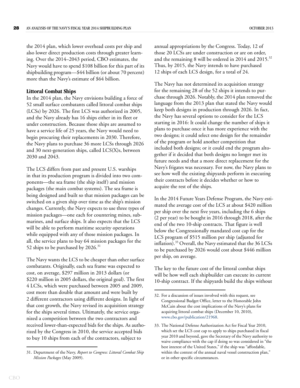the 2014 plan, which lower overhead costs per ship and also lower direct production costs through greater learning. Over the 2014–2043 period, CBO estimates, the Navy would have to spend \$108 billion for this part of its shipbuilding program—\$44 billion (or about 70 percent) more than the Navy's estimate of \$64 billion.

#### <span id="page-31-0"></span>**Littoral Combat Ships**

In the 2014 plan, the Navy envisions building a force of 52 small surface combatants called littoral combat ships (LCSs) by 2026. The first LCS was authorized in 2005, and the Navy already has 16 ships either in its fleet or under construction. Because those ships are assumed to have a service life of 25 years, the Navy would need to begin procuring their replacements in 2030. Therefore, the Navy plans to purchase 36 more LCSs through 2026 and 30 next-generation ships, called LCS(X)s, between 2030 and 2043.

The LCS differs from past and present U.S. warships in that its production program is divided into two components—the sea frame (the ship itself) and mission packages (the main combat systems). The sea frame is being designed and built so that mission packages can be switched on a given ship over time as the ship's mission changes. Currently, the Navy expects to use three types of mission packages—one each for countering mines, submarines, and surface ships. It also expects that the LCS will be able to perform maritime security operations while equipped with any of those mission packages. In all, the service plans to buy 64 mission packages for the 52 ships to be purchased by 2026.<sup>31</sup>

The Navy wants the LCS to be cheaper than other surface combatants. Originally, each sea frame was expected to cost, on average, \$297 million in 2013 dollars (or \$220 million in 2005 dollars, the original goal). The first 4 LCSs, which were purchased between 2005 and 2009, cost more than double that amount and were built by 2 different contractors using different designs. In light of that cost growth, the Navy revised its acquisition strategy for the ships several times. Ultimately, the service organized a competition between the two contractors and received lower-than-expected bids for the ships. As authorized by the Congress in 2010, the service accepted bids to buy 10 ships from each of the contractors, subject to

CBO

annual appropriations by the Congress. Today, 12 of those 20 LCSs are under construction or are on order, and the remaining 8 will be ordered in 2014 and 2015.<sup>32</sup> Thus, by 2015, the Navy intends to have purchased 12 ships of each LCS design, for a total of 24.

The Navy has not determined its acquisition strategy for the remaining 28 of the 52 ships it intends to purchase through 2026. Notably, the 2014 plan removed the language from the 2013 plan that stated the Navy would keep both designs in production through 2026. In fact, the Navy has several options to consider for the LCS starting in 2016: It could change the number of ships it plans to purchase once it has more experience with the two designs; it could select one design for the remainder of the program or hold another competition that included both designs; or it could end the program altogether if it decided that both designs no longer met its future needs and that a more direct replacement for the Navy's frigates was necessary. For now, the Navy plans to see how well the existing shipyards perform in executing their contracts before it decides whether or how to acquire the rest of the ships.

In the 2014 Future Years Defense Program, the Navy estimated the average cost of the LCS at about \$420 million per ship over the next five years, including the 6 ships (2 per year) to be bought in 2016 through 2018, after the end of the two 10-ship contracts. That figure is well below the Congressionally mandated cost cap for the LCS program of \$515 million per ship (adjusted for inflation).<sup>33</sup> Overall, the Navy estimated that the 36 LCSs to be purchased by 2026 would cost about \$446 million per ship, on average.

The key to the future cost of the littoral combat ships will be how well each shipbuilder can execute its current 10-ship contract. If the shipyards build the ships without

<sup>31.</sup> Department of the Navy*, Report to Congress: Littoral Combat Ship Mission Packages* (May 2009).

<sup>32.</sup> For a discussion of issues involved with this request, see Congressional Budget Office, letter to the Honorable John McCain about the cost implications of the Navy's plans for acquiring littoral combat ships (December 10, 2010), [www.cbo.gov/publication/21968](http://www.cbo.gov/publication/21968).

<sup>33.</sup> The National Defense Authorization Act for Fiscal Year 2010, which set the LCS cost cap to apply to ships purchased in fiscal year 2010 and beyond, gave the Secretary of the Navy authority to waive compliance with the cap if doing so was considered in "the best interest of the United States," if the ship was "affordable, within the context of the annual naval vessel construction plan," or in other specific circumstances.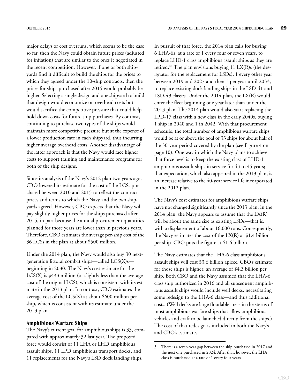major delays or cost overruns, which seems to be the case so far, then the Navy could obtain future prices (adjusted for inflation) that are similar to the ones it negotiated in the recent competition. However, if one or both shipyards find it difficult to build the ships for the prices to which they agreed under the 10-ship contracts, then the prices for ships purchased after 2015 would probably be higher. Selecting a single design and one shipyard to build that design would economize on overhead costs but would sacrifice the competitive pressure that could help hold down costs for future ship purchases. By contrast, continuing to purchase two types of the ships would maintain more competitive pressure but at the expense of a lower production rate in each shipyard, thus incurring higher average overhead costs. Another disadvantage of the latter approach is that the Navy would face higher costs to support training and maintenance programs for both of the ship designs.

Since its analysis of the Navy's 2012 plan two years ago, CBO lowered its estimate for the cost of the LCSs purchased between 2010 and 2015 to reflect the contract prices and terms to which the Navy and the two shipyards agreed. However, CBO expects that the Navy will pay slightly higher prices for the ships purchased after 2015, in part because the annual procurement quantities planned for those years are lower than in previous years. Therefore, CBO estimates the average per-ship cost of the 36 LCSs in the plan at about \$500 million.

Under the 2014 plan, the Navy would also buy 30 nextgeneration littoral combat ships—called LCS(X)s beginning in 2030. The Navy's cost estimate for the LCS(X) is \$433 million (or slightly less than the average cost of the original LCS), which is consistent with its estimate in the 2013 plan. In contrast, CBO estimates the average cost of the LCS(X) at about \$600 million per ship, which is consistent with its estimate under the 2013 plan.

#### <span id="page-32-0"></span>**Amphibious Warfare Ships**

The Navy's current goal for amphibious ships is 33, compared with approximately 32 last year. The proposed force would consist of 11 LHA or LHD amphibious assault ships, 11 LPD amphibious transport docks, and 11 replacements for the Navy's LSD dock landing ships.

In pursuit of that force, the 2014 plan calls for buying 6 LHA-6s, at a rate of 1 every four or seven years, to replace LHD-1 class amphibious assault ships as they are retired.<sup>34</sup> The plan envisions buying 11 LX(R)s (the designator for the replacement for LSDs), 1 every other year between 2019 and 2027 and then 1 per year until 2033, to replace existing dock landing ships in the LSD-41 and LSD-49 classes. Under the 2014 plan, the LX(R) would enter the fleet beginning one year later than under the 2013 plan. The 2014 plan would also start replacing the LPD-17 class with a new class in the early 2040s, buying 1 ship in 2040 and 1 in 2042. With that procurement schedule, the total number of amphibious warfare ships would be at or above the goal of 33 ships for about half of the 30-year period covered by the plan (see [Figure 4 on](#page-13-0)  [page 10](#page-13-0)). One way in which the Navy plans to achieve that force level is to keep the existing class of LHD-1 amphibious assault ships in service for 43 to 45 years; that expectation, which also appeared in the 2013 plan, is an increase relative to the 40-year service life incorporated in the 2012 plan.

The Navy's cost estimates for amphibious warfare ships have not changed significantly since the 2013 plan. In the 2014 plan, the Navy appears to assume that the  $LX(R)$ will be about the same size as existing LSDs—that is, with a displacement of about 16,000 tons. Consequently, the Navy estimates the cost of the  $LX(R)$  at \$1.4 billion per ship. CBO puts the figure at \$1.6 billion.

The Navy estimates that the LHA-6 class amphibious assault ships will cost \$3.6 billion apiece. CBO's estimate for those ships is higher: an average of \$4.3 billion per ship. Both CBO and the Navy assumed that the LHA-6 class ship authorized in 2016 and all subsequent amphibious assault ships would include well decks, necessitating some redesign to the LHA-6 class—and thus additional costs. (Well decks are large floodable areas in the sterns of most amphibious warfare ships that allow amphibious vehicles and craft to be launched directly from the ships.) The cost of that redesign is included in both the Navy's and CBO's estimates.

<sup>34.</sup> There is a seven-year gap between the ship purchased in 2017 and the next one purchased in 2024. After that, however, the LHA class is purchased at a rate of 1 every four years.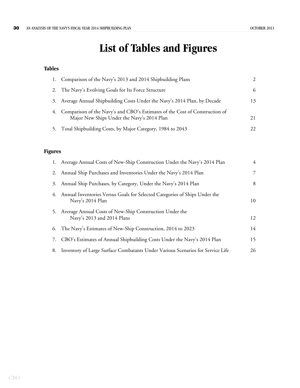## **List of Tables and Figures**

#### <span id="page-33-0"></span>**Tables**

|    | Comparison of the Navy's 2013 and 2014 Shipbuilding Plans                                                                 |     |
|----|---------------------------------------------------------------------------------------------------------------------------|-----|
|    | 2. The Navy's Evolving Goals for Its Force Structure                                                                      | 6   |
| 3. | Average Annual Shipbuilding Costs Under the Navy's 2014 Plan, by Decade                                                   | 13  |
| 4. | Comparison of the Navy's and CBO's Estimates of the Cost of Construction of<br>Major New Ships Under the Navy's 2014 Plan | 21  |
|    | 5. Total Shipbuilding Costs, by Major Category, 1984 to 2043                                                              | 22. |

#### **Figures**

|    | 1. Average Annual Costs of New-Ship Construction Under the Navy's 2014 Plan                       | $\overline{4}$ |
|----|---------------------------------------------------------------------------------------------------|----------------|
|    | 2. Annual Ship Purchases and Inventories Under the Navy's 2014 Plan                               | 7              |
| 3. | Annual Ship Purchases, by Category, Under the Navy's 2014 Plan                                    | 8              |
|    | 4. Annual Inventories Versus Goals for Selected Categories of Ships Under the<br>Navy's 2014 Plan | 10             |
|    | 5. Average Annual Costs of New-Ship Construction Under the<br>Navy's 2013 and 2014 Plans          | 12             |
|    | 6. The Navy's Estimates of New-Ship Construction, 2014 to 2023                                    | 14             |
| 7. | CBO's Estimates of Annual Shipbuilding Costs Under the Navy's 2014 Plan                           | 15             |
|    | 8. Inventory of Large Surface Combatants Under Various Scenarios for Service Life                 | 26             |